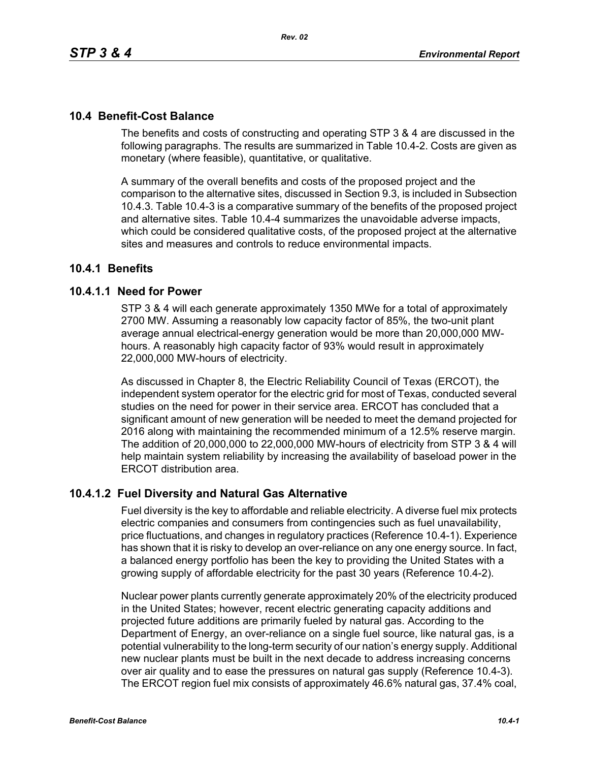## **10.4 Benefit-Cost Balance**

The benefits and costs of constructing and operating STP 3 & 4 are discussed in the following paragraphs. The results are summarized in Table 10.4-2. Costs are given as monetary (where feasible), quantitative, or qualitative.

A summary of the overall benefits and costs of the proposed project and the comparison to the alternative sites, discussed in Section 9.3, is included in Subsection 10.4.3. Table 10.4-3 is a comparative summary of the benefits of the proposed project and alternative sites. Table 10.4-4 summarizes the unavoidable adverse impacts, which could be considered qualitative costs, of the proposed project at the alternative sites and measures and controls to reduce environmental impacts.

## **10.4.1 Benefits**

### **10.4.1.1 Need for Power**

STP 3 & 4 will each generate approximately 1350 MWe for a total of approximately 2700 MW. Assuming a reasonably low capacity factor of 85%, the two-unit plant average annual electrical-energy generation would be more than 20,000,000 MWhours. A reasonably high capacity factor of 93% would result in approximately 22,000,000 MW-hours of electricity.

As discussed in Chapter 8, the Electric Reliability Council of Texas (ERCOT), the independent system operator for the electric grid for most of Texas, conducted several studies on the need for power in their service area. ERCOT has concluded that a significant amount of new generation will be needed to meet the demand projected for 2016 along with maintaining the recommended minimum of a 12.5% reserve margin. The addition of 20,000,000 to 22,000,000 MW-hours of electricity from STP 3 & 4 will help maintain system reliability by increasing the availability of baseload power in the ERCOT distribution area.

### **10.4.1.2 Fuel Diversity and Natural Gas Alternative**

Fuel diversity is the key to affordable and reliable electricity. A diverse fuel mix protects electric companies and consumers from contingencies such as fuel unavailability, price fluctuations, and changes in regulatory practices (Reference 10.4-1). Experience has shown that it is risky to develop an over-reliance on any one energy source. In fact, a balanced energy portfolio has been the key to providing the United States with a growing supply of affordable electricity for the past 30 years (Reference 10.4-2).

Nuclear power plants currently generate approximately 20% of the electricity produced in the United States; however, recent electric generating capacity additions and projected future additions are primarily fueled by natural gas. According to the Department of Energy, an over-reliance on a single fuel source, like natural gas, is a potential vulnerability to the long-term security of our nation's energy supply. Additional new nuclear plants must be built in the next decade to address increasing concerns over air quality and to ease the pressures on natural gas supply (Reference 10.4-3). The ERCOT region fuel mix consists of approximately 46.6% natural gas, 37.4% coal,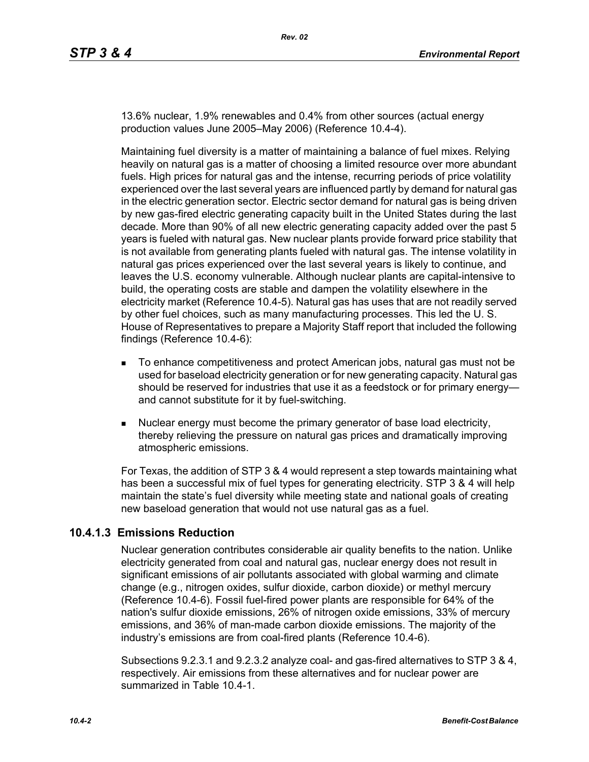13.6% nuclear, 1.9% renewables and 0.4% from other sources (actual energy production values June 2005–May 2006) (Reference 10.4-4).

Maintaining fuel diversity is a matter of maintaining a balance of fuel mixes. Relying heavily on natural gas is a matter of choosing a limited resource over more abundant fuels. High prices for natural gas and the intense, recurring periods of price volatility experienced over the last several years are influenced partly by demand for natural gas in the electric generation sector. Electric sector demand for natural gas is being driven by new gas-fired electric generating capacity built in the United States during the last decade. More than 90% of all new electric generating capacity added over the past 5 years is fueled with natural gas. New nuclear plants provide forward price stability that is not available from generating plants fueled with natural gas. The intense volatility in natural gas prices experienced over the last several years is likely to continue, and leaves the U.S. economy vulnerable. Although nuclear plants are capital-intensive to build, the operating costs are stable and dampen the volatility elsewhere in the electricity market (Reference 10.4-5). Natural gas has uses that are not readily served by other fuel choices, such as many manufacturing processes. This led the U. S. House of Representatives to prepare a Majority Staff report that included the following findings (Reference 10.4-6):

- To enhance competitiveness and protect American jobs, natural gas must not be used for baseload electricity generation or for new generating capacity. Natural gas should be reserved for industries that use it as a feedstock or for primary energy and cannot substitute for it by fuel-switching.
- Nuclear energy must become the primary generator of base load electricity, thereby relieving the pressure on natural gas prices and dramatically improving atmospheric emissions.

For Texas, the addition of STP 3 & 4 would represent a step towards maintaining what has been a successful mix of fuel types for generating electricity. STP 3 & 4 will help maintain the state's fuel diversity while meeting state and national goals of creating new baseload generation that would not use natural gas as a fuel.

### **10.4.1.3 Emissions Reduction**

Nuclear generation contributes considerable air quality benefits to the nation. Unlike electricity generated from coal and natural gas, nuclear energy does not result in significant emissions of air pollutants associated with global warming and climate change (e.g., nitrogen oxides, sulfur dioxide, carbon dioxide) or methyl mercury (Reference 10.4-6). Fossil fuel-fired power plants are responsible for 64% of the nation's sulfur dioxide emissions, 26% of nitrogen oxide emissions, 33% of mercury emissions, and 36% of man-made carbon dioxide emissions. The majority of the industry's emissions are from coal-fired plants (Reference 10.4-6).

Subsections 9.2.3.1 and 9.2.3.2 analyze coal- and gas-fired alternatives to STP 3 & 4, respectively. Air emissions from these alternatives and for nuclear power are summarized in Table 10.4-1.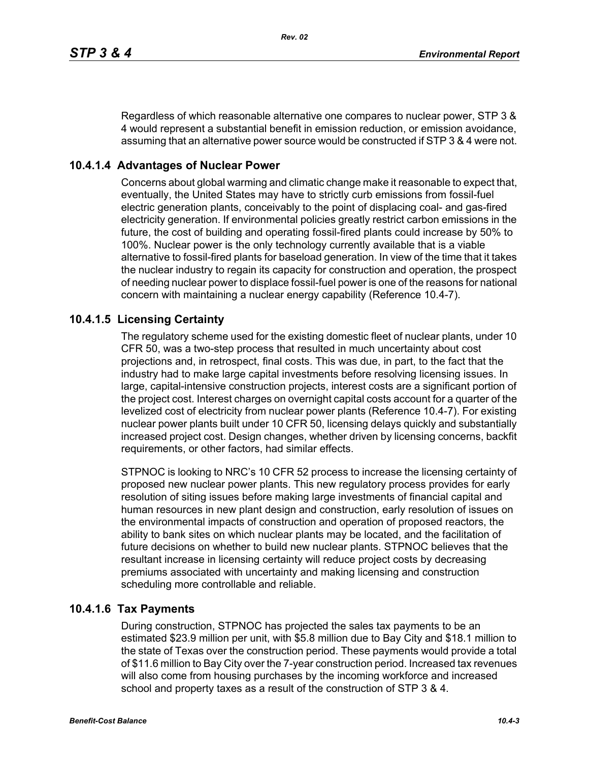Regardless of which reasonable alternative one compares to nuclear power, STP 3 & 4 would represent a substantial benefit in emission reduction, or emission avoidance, assuming that an alternative power source would be constructed if STP 3 & 4 were not.

# **10.4.1.4 Advantages of Nuclear Power**

Concerns about global warming and climatic change make it reasonable to expect that, eventually, the United States may have to strictly curb emissions from fossil-fuel electric generation plants, conceivably to the point of displacing coal- and gas-fired electricity generation. If environmental policies greatly restrict carbon emissions in the future, the cost of building and operating fossil-fired plants could increase by 50% to 100%. Nuclear power is the only technology currently available that is a viable alternative to fossil-fired plants for baseload generation. In view of the time that it takes the nuclear industry to regain its capacity for construction and operation, the prospect of needing nuclear power to displace fossil-fuel power is one of the reasons for national concern with maintaining a nuclear energy capability (Reference 10.4-7).

# **10.4.1.5 Licensing Certainty**

The regulatory scheme used for the existing domestic fleet of nuclear plants, under 10 CFR 50, was a two-step process that resulted in much uncertainty about cost projections and, in retrospect, final costs. This was due, in part, to the fact that the industry had to make large capital investments before resolving licensing issues. In large, capital-intensive construction projects, interest costs are a significant portion of the project cost. Interest charges on overnight capital costs account for a quarter of the levelized cost of electricity from nuclear power plants (Reference 10.4-7). For existing nuclear power plants built under 10 CFR 50, licensing delays quickly and substantially increased project cost. Design changes, whether driven by licensing concerns, backfit requirements, or other factors, had similar effects.

STPNOC is looking to NRC's 10 CFR 52 process to increase the licensing certainty of proposed new nuclear power plants. This new regulatory process provides for early resolution of siting issues before making large investments of financial capital and human resources in new plant design and construction, early resolution of issues on the environmental impacts of construction and operation of proposed reactors, the ability to bank sites on which nuclear plants may be located, and the facilitation of future decisions on whether to build new nuclear plants. STPNOC believes that the resultant increase in licensing certainty will reduce project costs by decreasing premiums associated with uncertainty and making licensing and construction scheduling more controllable and reliable.

## **10.4.1.6 Tax Payments**

During construction, STPNOC has projected the sales tax payments to be an estimated \$23.9 million per unit, with \$5.8 million due to Bay City and \$18.1 million to the state of Texas over the construction period. These payments would provide a total of \$11.6 million to Bay City over the 7-year construction period. Increased tax revenues will also come from housing purchases by the incoming workforce and increased school and property taxes as a result of the construction of STP 3 & 4.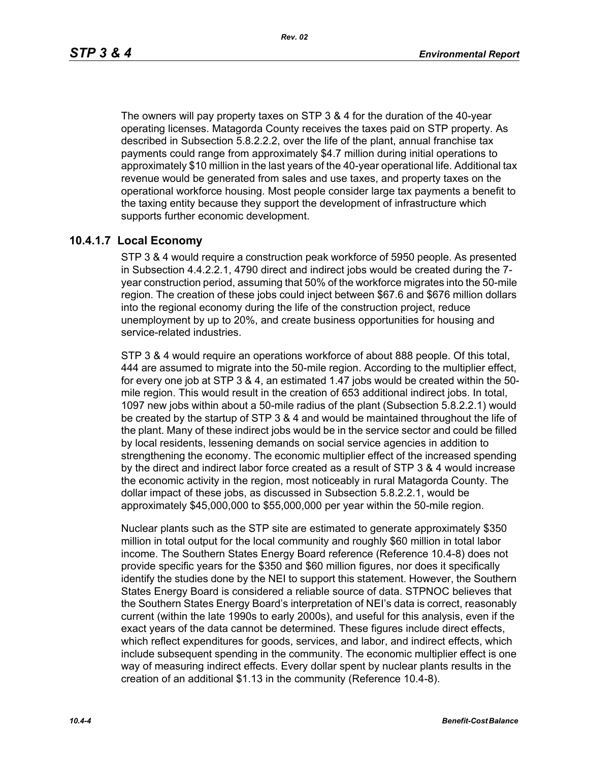*Rev. 02*

The owners will pay property taxes on STP 3 & 4 for the duration of the 40-year operating licenses. Matagorda County receives the taxes paid on STP property. As described in Subsection 5.8.2.2.2, over the life of the plant, annual franchise tax payments could range from approximately \$4.7 million during initial operations to approximately \$10 million in the last years of the 40-year operational life. Additional tax revenue would be generated from sales and use taxes, and property taxes on the operational workforce housing. Most people consider large tax payments a benefit to the taxing entity because they support the development of infrastructure which supports further economic development.

# **10.4.1.7 Local Economy**

STP 3 & 4 would require a construction peak workforce of 5950 people. As presented in Subsection 4.4.2.2.1, 4790 direct and indirect jobs would be created during the 7 year construction period, assuming that 50% of the workforce migrates into the 50-mile region. The creation of these jobs could inject between \$67.6 and \$676 million dollars into the regional economy during the life of the construction project, reduce unemployment by up to 20%, and create business opportunities for housing and service-related industries.

STP 3 & 4 would require an operations workforce of about 888 people. Of this total, 444 are assumed to migrate into the 50-mile region. According to the multiplier effect, for every one job at STP 3 & 4, an estimated 1.47 jobs would be created within the 50 mile region. This would result in the creation of 653 additional indirect jobs. In total, 1097 new jobs within about a 50-mile radius of the plant (Subsection 5.8.2.2.1) would be created by the startup of STP 3 & 4 and would be maintained throughout the life of the plant. Many of these indirect jobs would be in the service sector and could be filled by local residents, lessening demands on social service agencies in addition to strengthening the economy. The economic multiplier effect of the increased spending by the direct and indirect labor force created as a result of STP 3 & 4 would increase the economic activity in the region, most noticeably in rural Matagorda County. The dollar impact of these jobs, as discussed in Subsection 5.8.2.2.1, would be approximately \$45,000,000 to \$55,000,000 per year within the 50-mile region.

Nuclear plants such as the STP site are estimated to generate approximately \$350 million in total output for the local community and roughly \$60 million in total labor income. The Southern States Energy Board reference (Reference 10.4-8) does not provide specific years for the \$350 and \$60 million figures, nor does it specifically identify the studies done by the NEI to support this statement. However, the Southern States Energy Board is considered a reliable source of data. STPNOC believes that the Southern States Energy Board's interpretation of NEI's data is correct, reasonably current (within the late 1990s to early 2000s), and useful for this analysis, even if the exact years of the data cannot be determined. These figures include direct effects, which reflect expenditures for goods, services, and labor, and indirect effects, which include subsequent spending in the community. The economic multiplier effect is one way of measuring indirect effects. Every dollar spent by nuclear plants results in the creation of an additional \$1.13 in the community (Reference 10.4-8).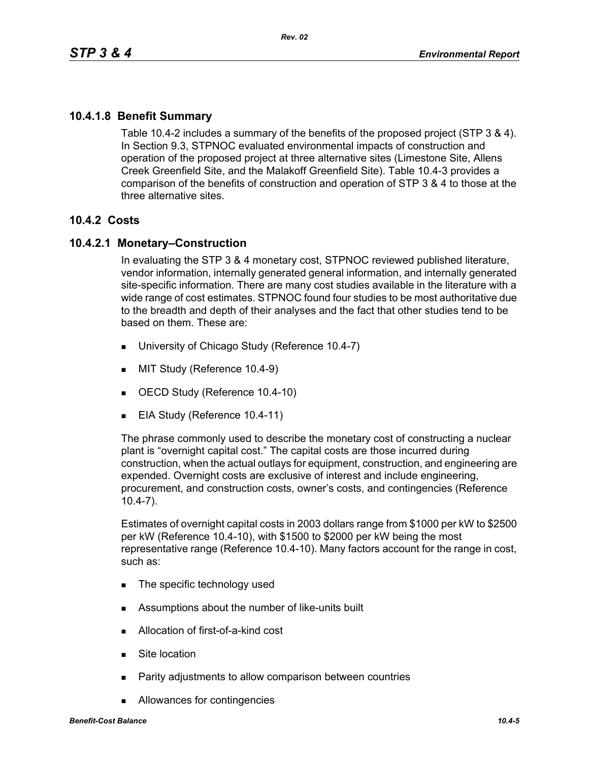## **10.4.1.8 Benefit Summary**

Table 10.4-2 includes a summary of the benefits of the proposed project (STP 3 & 4). In Section 9.3, STPNOC evaluated environmental impacts of construction and operation of the proposed project at three alternative sites (Limestone Site, Allens Creek Greenfield Site, and the Malakoff Greenfield Site). Table 10.4-3 provides a comparison of the benefits of construction and operation of STP 3 & 4 to those at the three alternative sites.

### **10.4.2 Costs**

### **10.4.2.1 Monetary–Construction**

In evaluating the STP 3 & 4 monetary cost, STPNOC reviewed published literature, vendor information, internally generated general information, and internally generated site-specific information. There are many cost studies available in the literature with a wide range of cost estimates. STPNOC found four studies to be most authoritative due to the breadth and depth of their analyses and the fact that other studies tend to be based on them. These are:

- University of Chicago Study (Reference 10.4-7)
- **MIT Study (Reference 10.4-9)**
- OECD Study (Reference 10.4-10)
- EIA Study (Reference 10.4-11)

The phrase commonly used to describe the monetary cost of constructing a nuclear plant is "overnight capital cost." The capital costs are those incurred during construction, when the actual outlays for equipment, construction, and engineering are expended. Overnight costs are exclusive of interest and include engineering, procurement, and construction costs, owner's costs, and contingencies (Reference 10.4-7).

Estimates of overnight capital costs in 2003 dollars range from \$1000 per kW to \$2500 per kW (Reference 10.4-10), with \$1500 to \$2000 per kW being the most representative range (Reference 10.4-10). Many factors account for the range in cost, such as:

- The specific technology used
- Assumptions about the number of like-units built
- Allocation of first-of-a-kind cost
- **Site location**
- **Parity adjustments to allow comparison between countries**
- Allowances for contingencies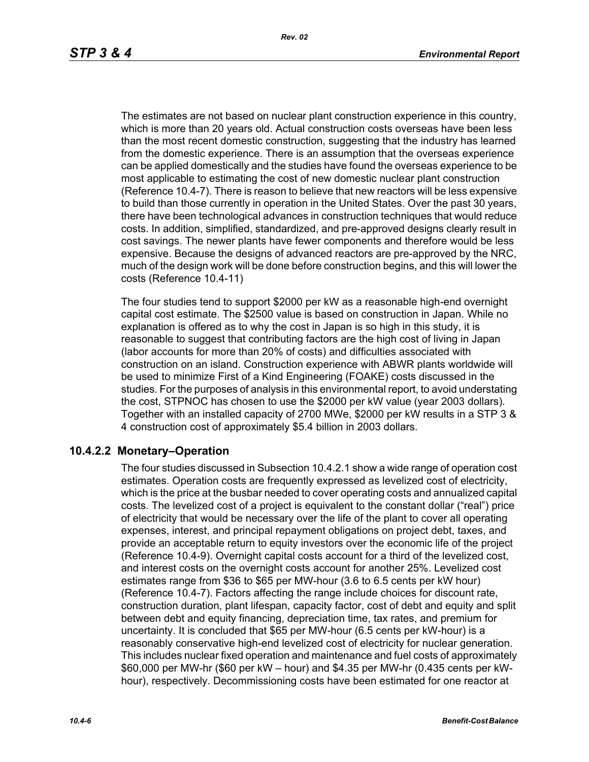The estimates are not based on nuclear plant construction experience in this country, which is more than 20 years old. Actual construction costs overseas have been less than the most recent domestic construction, suggesting that the industry has learned from the domestic experience. There is an assumption that the overseas experience can be applied domestically and the studies have found the overseas experience to be most applicable to estimating the cost of new domestic nuclear plant construction (Reference 10.4-7). There is reason to believe that new reactors will be less expensive to build than those currently in operation in the United States. Over the past 30 years, there have been technological advances in construction techniques that would reduce costs. In addition, simplified, standardized, and pre-approved designs clearly result in cost savings. The newer plants have fewer components and therefore would be less expensive. Because the designs of advanced reactors are pre-approved by the NRC, much of the design work will be done before construction begins, and this will lower the costs (Reference 10.4-11)

The four studies tend to support \$2000 per kW as a reasonable high-end overnight capital cost estimate. The \$2500 value is based on construction in Japan. While no explanation is offered as to why the cost in Japan is so high in this study, it is reasonable to suggest that contributing factors are the high cost of living in Japan (labor accounts for more than 20% of costs) and difficulties associated with construction on an island. Construction experience with ABWR plants worldwide will be used to minimize First of a Kind Engineering (FOAKE) costs discussed in the studies. For the purposes of analysis in this environmental report, to avoid understating the cost, STPNOC has chosen to use the \$2000 per kW value (year 2003 dollars). Together with an installed capacity of 2700 MWe, \$2000 per kW results in a STP 3 & 4 construction cost of approximately \$5.4 billion in 2003 dollars.

## **10.4.2.2 Monetary–Operation**

The four studies discussed in Subsection 10.4.2.1 show a wide range of operation cost estimates. Operation costs are frequently expressed as levelized cost of electricity, which is the price at the busbar needed to cover operating costs and annualized capital costs. The levelized cost of a project is equivalent to the constant dollar ("real") price of electricity that would be necessary over the life of the plant to cover all operating expenses, interest, and principal repayment obligations on project debt, taxes, and provide an acceptable return to equity investors over the economic life of the project (Reference 10.4-9). Overnight capital costs account for a third of the levelized cost, and interest costs on the overnight costs account for another 25%. Levelized cost estimates range from \$36 to \$65 per MW-hour (3.6 to 6.5 cents per kW hour) (Reference 10.4-7). Factors affecting the range include choices for discount rate, construction duration, plant lifespan, capacity factor, cost of debt and equity and split between debt and equity financing, depreciation time, tax rates, and premium for uncertainty. It is concluded that \$65 per MW-hour (6.5 cents per kW-hour) is a reasonably conservative high-end levelized cost of electricity for nuclear generation. This includes nuclear fixed operation and maintenance and fuel costs of approximately \$60,000 per MW-hr (\$60 per kW – hour) and \$4.35 per MW-hr (0.435 cents per kWhour), respectively. Decommissioning costs have been estimated for one reactor at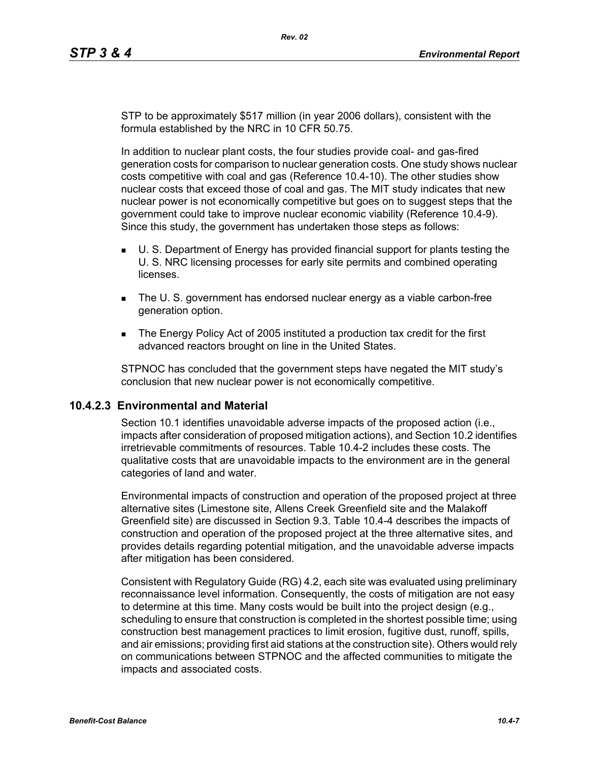STP to be approximately \$517 million (in year 2006 dollars), consistent with the formula established by the NRC in 10 CFR 50.75.

In addition to nuclear plant costs, the four studies provide coal- and gas-fired generation costs for comparison to nuclear generation costs. One study shows nuclear costs competitive with coal and gas (Reference 10.4-10). The other studies show nuclear costs that exceed those of coal and gas. The MIT study indicates that new nuclear power is not economically competitive but goes on to suggest steps that the government could take to improve nuclear economic viability (Reference 10.4-9). Since this study, the government has undertaken those steps as follows:

- U. S. Department of Energy has provided financial support for plants testing the U. S. NRC licensing processes for early site permits and combined operating licenses.
- The U. S. government has endorsed nuclear energy as a viable carbon-free generation option.
- The Energy Policy Act of 2005 instituted a production tax credit for the first advanced reactors brought on line in the United States.

STPNOC has concluded that the government steps have negated the MIT study's conclusion that new nuclear power is not economically competitive.

### **10.4.2.3 Environmental and Material**

Section 10.1 identifies unavoidable adverse impacts of the proposed action (i.e., impacts after consideration of proposed mitigation actions), and Section 10.2 identifies irretrievable commitments of resources. Table 10.4-2 includes these costs. The qualitative costs that are unavoidable impacts to the environment are in the general categories of land and water.

Environmental impacts of construction and operation of the proposed project at three alternative sites (Limestone site, Allens Creek Greenfield site and the Malakoff Greenfield site) are discussed in Section 9.3. Table 10.4-4 describes the impacts of construction and operation of the proposed project at the three alternative sites, and provides details regarding potential mitigation, and the unavoidable adverse impacts after mitigation has been considered.

Consistent with Regulatory Guide (RG) 4.2, each site was evaluated using preliminary reconnaissance level information. Consequently, the costs of mitigation are not easy to determine at this time. Many costs would be built into the project design (e.g., scheduling to ensure that construction is completed in the shortest possible time; using construction best management practices to limit erosion, fugitive dust, runoff, spills, and air emissions; providing first aid stations at the construction site). Others would rely on communications between STPNOC and the affected communities to mitigate the impacts and associated costs.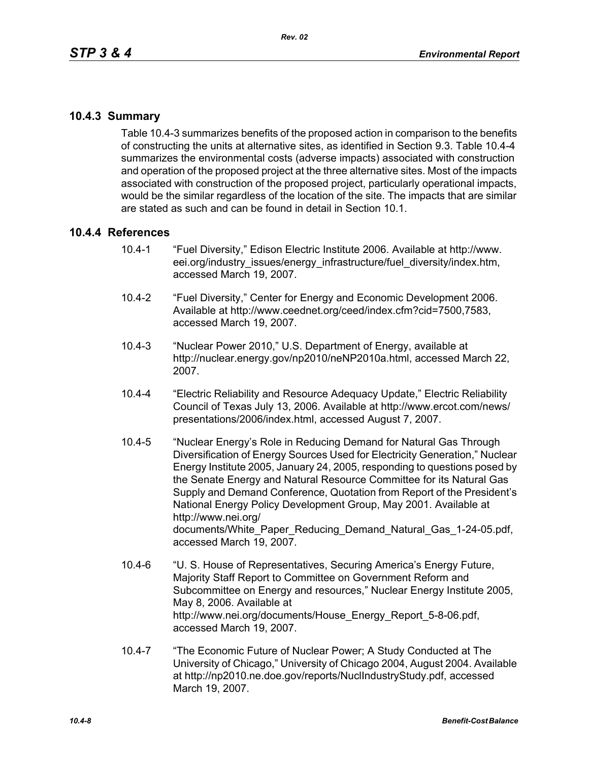## **10.4.3 Summary**

Table 10.4-3 summarizes benefits of the proposed action in comparison to the benefits of constructing the units at alternative sites, as identified in Section 9.3. Table 10.4-4 summarizes the environmental costs (adverse impacts) associated with construction and operation of the proposed project at the three alternative sites. Most of the impacts associated with construction of the proposed project, particularly operational impacts, would be the similar regardless of the location of the site. The impacts that are similar are stated as such and can be found in detail in Section 10.1.

## **10.4.4 References**

- 10.4-1 "Fuel Diversity," Edison Electric Institute 2006. Available at http://www. eei.org/industry\_issues/energy\_infrastructure/fuel\_diversity/index.htm, accessed March 19, 2007.
- 10.4-2 "Fuel Diversity," Center for Energy and Economic Development 2006. Available at http://www.ceednet.org/ceed/index.cfm?cid=7500,7583, accessed March 19, 2007.
- 10.4-3 "Nuclear Power 2010," U.S. Department of Energy, available at http://nuclear.energy.gov/np2010/neNP2010a.html, accessed March 22, 2007.
- 10.4-4 "Electric Reliability and Resource Adequacy Update," Electric Reliability Council of Texas July 13, 2006. Available at http://www.ercot.com/news/ presentations/2006/index.html, accessed August 7, 2007.
- 10.4-5 "Nuclear Energy's Role in Reducing Demand for Natural Gas Through Diversification of Energy Sources Used for Electricity Generation," Nuclear Energy Institute 2005, January 24, 2005, responding to questions posed by the Senate Energy and Natural Resource Committee for its Natural Gas Supply and Demand Conference, Quotation from Report of the President's National Energy Policy Development Group, May 2001. Available at http://www.nei.org/ documents/White\_Paper\_Reducing\_Demand\_Natural\_Gas\_1-24-05.pdf, accessed March 19, 2007.
- 10.4-6 "U. S. House of Representatives, Securing America's Energy Future, Majority Staff Report to Committee on Government Reform and Subcommittee on Energy and resources," Nuclear Energy Institute 2005, May 8, 2006. Available at http://www.nei.org/documents/House\_Energy\_Report\_5-8-06.pdf, accessed March 19, 2007.
- 10.4-7 "The Economic Future of Nuclear Power; A Study Conducted at The University of Chicago," University of Chicago 2004, August 2004. Available at http://np2010.ne.doe.gov/reports/NuclIndustryStudy.pdf, accessed March 19, 2007.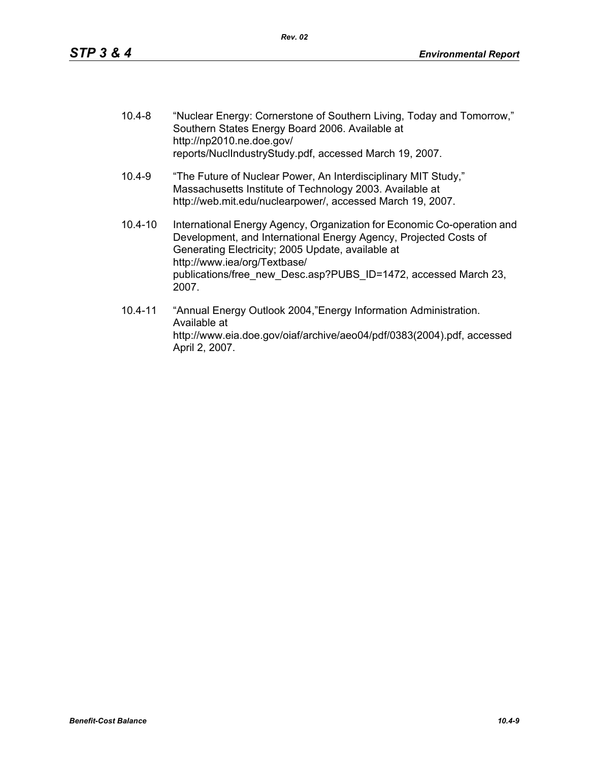| $10.4 - 8$  | "Nuclear Energy: Cornerstone of Southern Living, Today and Tomorrow,"<br>Southern States Energy Board 2006. Available at<br>http://np2010.ne.doe.gov/<br>reports/NuclIndustryStudy.pdf, accessed March 19, 2007.                                                                                             |
|-------------|--------------------------------------------------------------------------------------------------------------------------------------------------------------------------------------------------------------------------------------------------------------------------------------------------------------|
| $10.4 - 9$  | "The Future of Nuclear Power, An Interdisciplinary MIT Study,"<br>Massachusetts Institute of Technology 2003. Available at<br>http://web.mit.edu/nuclearpower/, accessed March 19, 2007.                                                                                                                     |
| $10.4 - 10$ | International Energy Agency, Organization for Economic Co-operation and<br>Development, and International Energy Agency, Projected Costs of<br>Generating Electricity; 2005 Update, available at<br>http://www.iea/org/Textbase/<br>publications/free new Desc.asp?PUBS ID=1472, accessed March 23,<br>2007. |
| 10 4-11     | "Annual Energy Outlook 2004 "Energy Information Administration"                                                                                                                                                                                                                                              |

10.4-11 "Annual Energy Outlook 2004,"Energy Information Administration. Available at http://www.eia.doe.gov/oiaf/archive/aeo04/pdf/0383(2004).pdf, accessed April 2, 2007.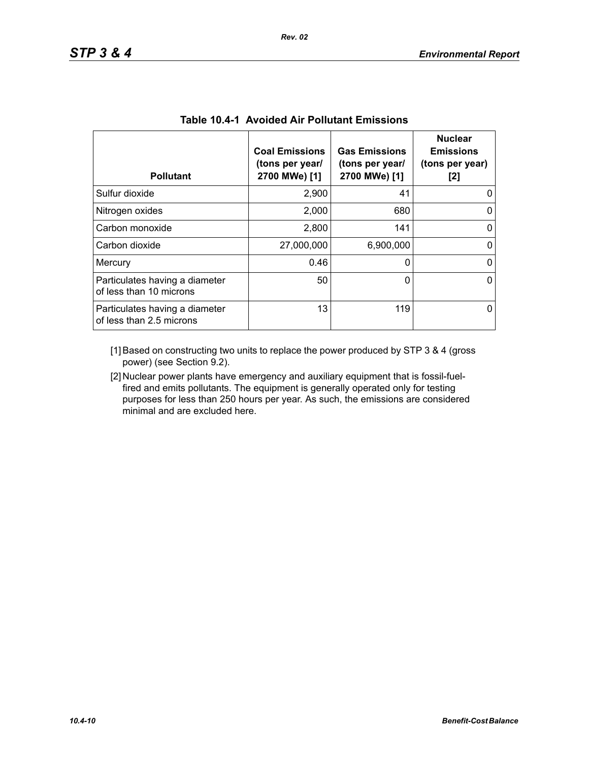| <b>Pollutant</b>                                           | <b>Coal Emissions</b><br>(tons per year/<br>2700 MWe) [1] | <b>Gas Emissions</b><br>(tons per year/<br>2700 MWe) [1] | <b>Nuclear</b><br><b>Emissions</b><br>(tons per year)<br>[2] |
|------------------------------------------------------------|-----------------------------------------------------------|----------------------------------------------------------|--------------------------------------------------------------|
| Sulfur dioxide                                             | 2,900                                                     | 41                                                       |                                                              |
| Nitrogen oxides                                            | 2,000                                                     | 680                                                      | 0                                                            |
| Carbon monoxide                                            | 2,800                                                     | 141                                                      | 0                                                            |
| Carbon dioxide                                             | 27,000,000                                                | 6,900,000                                                |                                                              |
| Mercury                                                    | 0.46                                                      | 0                                                        | ∩                                                            |
| Particulates having a diameter<br>of less than 10 microns  | 50                                                        | 0                                                        | ∩                                                            |
| Particulates having a diameter<br>of less than 2.5 microns | 13                                                        | 119                                                      |                                                              |

|  |  |  | <b>Table 10.4-1 Avoided Air Pollutant Emissions</b> |  |
|--|--|--|-----------------------------------------------------|--|
|--|--|--|-----------------------------------------------------|--|

[1] Based on constructing two units to replace the power produced by STP 3 & 4 (gross power) (see Section 9.2).

[2] Nuclear power plants have emergency and auxiliary equipment that is fossil-fuelfired and emits pollutants. The equipment is generally operated only for testing purposes for less than 250 hours per year. As such, the emissions are considered minimal and are excluded here.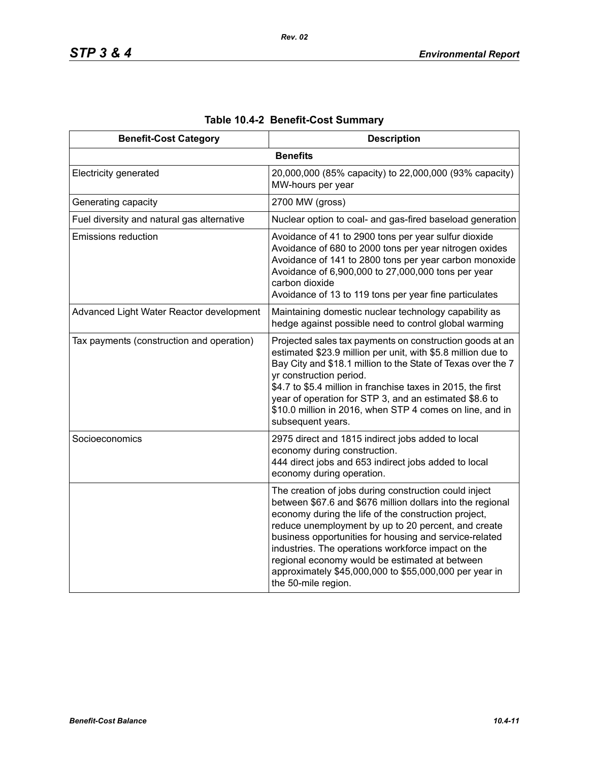| <b>Benefit-Cost Category</b>               | <b>Description</b>                                                                                                                                                                                                                                                                                                                                                                                                                                                                    |
|--------------------------------------------|---------------------------------------------------------------------------------------------------------------------------------------------------------------------------------------------------------------------------------------------------------------------------------------------------------------------------------------------------------------------------------------------------------------------------------------------------------------------------------------|
|                                            | <b>Benefits</b>                                                                                                                                                                                                                                                                                                                                                                                                                                                                       |
| Electricity generated                      | 20,000,000 (85% capacity) to 22,000,000 (93% capacity)<br>MW-hours per year                                                                                                                                                                                                                                                                                                                                                                                                           |
| Generating capacity                        | 2700 MW (gross)                                                                                                                                                                                                                                                                                                                                                                                                                                                                       |
| Fuel diversity and natural gas alternative | Nuclear option to coal- and gas-fired baseload generation                                                                                                                                                                                                                                                                                                                                                                                                                             |
| <b>Emissions reduction</b>                 | Avoidance of 41 to 2900 tons per year sulfur dioxide<br>Avoidance of 680 to 2000 tons per year nitrogen oxides<br>Avoidance of 141 to 2800 tons per year carbon monoxide<br>Avoidance of 6,900,000 to 27,000,000 tons per year<br>carbon dioxide<br>Avoidance of 13 to 119 tons per year fine particulates                                                                                                                                                                            |
| Advanced Light Water Reactor development   | Maintaining domestic nuclear technology capability as<br>hedge against possible need to control global warming                                                                                                                                                                                                                                                                                                                                                                        |
| Tax payments (construction and operation)  | Projected sales tax payments on construction goods at an<br>estimated \$23.9 million per unit, with \$5.8 million due to<br>Bay City and \$18.1 million to the State of Texas over the 7<br>yr construction period.<br>\$4.7 to \$5.4 million in franchise taxes in 2015, the first<br>year of operation for STP 3, and an estimated \$8.6 to<br>\$10.0 million in 2016, when STP 4 comes on line, and in<br>subsequent years.                                                        |
| Socioeconomics                             | 2975 direct and 1815 indirect jobs added to local<br>economy during construction.<br>444 direct jobs and 653 indirect jobs added to local<br>economy during operation.                                                                                                                                                                                                                                                                                                                |
|                                            | The creation of jobs during construction could inject<br>between \$67.6 and \$676 million dollars into the regional<br>economy during the life of the construction project,<br>reduce unemployment by up to 20 percent, and create<br>business opportunities for housing and service-related<br>industries. The operations workforce impact on the<br>regional economy would be estimated at between<br>approximately \$45,000,000 to \$55,000,000 per year in<br>the 50-mile region. |

# **Table 10.4-2 Benefit-Cost Summary**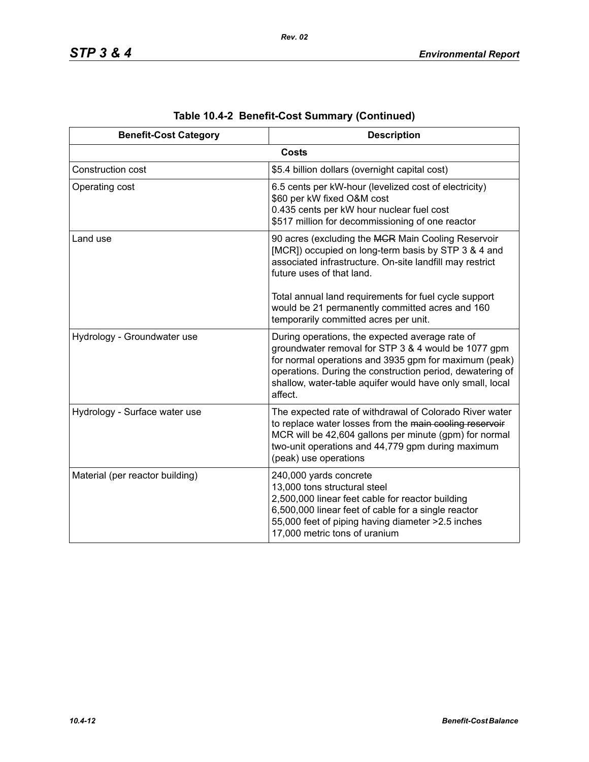| <b>Benefit-Cost Category</b>    | <b>Description</b>                                                                                                                                                                                                                                                                                   |
|---------------------------------|------------------------------------------------------------------------------------------------------------------------------------------------------------------------------------------------------------------------------------------------------------------------------------------------------|
|                                 | <b>Costs</b>                                                                                                                                                                                                                                                                                         |
| Construction cost               | \$5.4 billion dollars (overnight capital cost)                                                                                                                                                                                                                                                       |
| Operating cost                  | 6.5 cents per kW-hour (levelized cost of electricity)<br>\$60 per kW fixed O&M cost<br>0.435 cents per kW hour nuclear fuel cost<br>\$517 million for decommissioning of one reactor                                                                                                                 |
| Land use                        | 90 acres (excluding the MGR Main Cooling Reservoir<br>[MCR]) occupied on long-term basis by STP 3 & 4 and<br>associated infrastructure. On-site landfill may restrict<br>future uses of that land.                                                                                                   |
|                                 | Total annual land requirements for fuel cycle support<br>would be 21 permanently committed acres and 160<br>temporarily committed acres per unit.                                                                                                                                                    |
| Hydrology - Groundwater use     | During operations, the expected average rate of<br>groundwater removal for STP 3 & 4 would be 1077 gpm<br>for normal operations and 3935 gpm for maximum (peak)<br>operations. During the construction period, dewatering of<br>shallow, water-table aquifer would have only small, local<br>affect. |
| Hydrology - Surface water use   | The expected rate of withdrawal of Colorado River water<br>to replace water losses from the main cooling reservoir<br>MCR will be 42,604 gallons per minute (gpm) for normal<br>two-unit operations and 44,779 gpm during maximum<br>(peak) use operations                                           |
| Material (per reactor building) | 240,000 yards concrete<br>13,000 tons structural steel<br>2,500,000 linear feet cable for reactor building<br>6,500,000 linear feet of cable for a single reactor<br>55,000 feet of piping having diameter > 2.5 inches<br>17,000 metric tons of uranium                                             |

|  | Table 10.4-2 Benefit-Cost Summary (Continued) |  |  |
|--|-----------------------------------------------|--|--|
|--|-----------------------------------------------|--|--|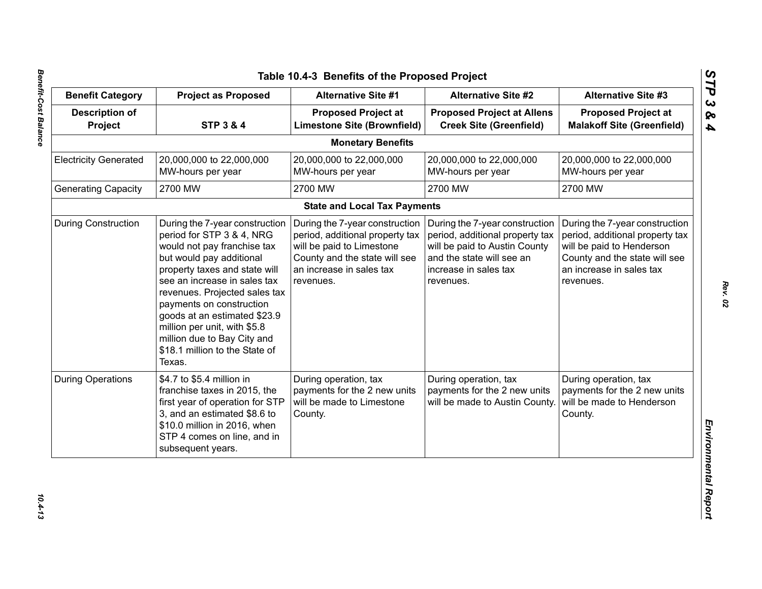|                                  |                                                                                                                                                                                                                                                                                                                                                                                                 |                                                                                                                                                                          | <b>Benefit Category</b>                                                                                                                                               | <b>Project as Proposed</b>                                                                                                                                               | <b>Alternative Site #1</b> | <b>Alternative Site #2</b> | <b>Alternative Site #3</b> |
|----------------------------------|-------------------------------------------------------------------------------------------------------------------------------------------------------------------------------------------------------------------------------------------------------------------------------------------------------------------------------------------------------------------------------------------------|--------------------------------------------------------------------------------------------------------------------------------------------------------------------------|-----------------------------------------------------------------------------------------------------------------------------------------------------------------------|--------------------------------------------------------------------------------------------------------------------------------------------------------------------------|----------------------------|----------------------------|----------------------------|
| <b>Description of</b><br>Project | <b>STP 3 &amp; 4</b>                                                                                                                                                                                                                                                                                                                                                                            | <b>Proposed Project at</b><br><b>Limestone Site (Brownfield)</b>                                                                                                         | <b>Proposed Project at Allens</b><br><b>Creek Site (Greenfield)</b>                                                                                                   | <b>Proposed Project at</b><br><b>Malakoff Site (Greenfield)</b>                                                                                                          |                            |                            |                            |
|                                  |                                                                                                                                                                                                                                                                                                                                                                                                 | <b>Monetary Benefits</b>                                                                                                                                                 |                                                                                                                                                                       |                                                                                                                                                                          |                            |                            |                            |
| <b>Electricity Generated</b>     | 20,000,000 to 22,000,000<br>MW-hours per year                                                                                                                                                                                                                                                                                                                                                   | 20,000,000 to 22,000,000<br>MW-hours per year                                                                                                                            | 20,000,000 to 22,000,000<br>MW-hours per year                                                                                                                         | 20,000,000 to 22,000,000<br>MW-hours per year                                                                                                                            |                            |                            |                            |
| <b>Generating Capacity</b>       | 2700 MW                                                                                                                                                                                                                                                                                                                                                                                         | 2700 MW                                                                                                                                                                  | 2700 MW                                                                                                                                                               | 2700 MW                                                                                                                                                                  |                            |                            |                            |
|                                  |                                                                                                                                                                                                                                                                                                                                                                                                 | <b>State and Local Tax Payments</b>                                                                                                                                      |                                                                                                                                                                       |                                                                                                                                                                          |                            |                            |                            |
| <b>During Construction</b>       | During the 7-year construction<br>period for STP 3 & 4, NRG<br>would not pay franchise tax<br>but would pay additional<br>property taxes and state will<br>see an increase in sales tax<br>revenues. Projected sales tax<br>payments on construction<br>goods at an estimated \$23.9<br>million per unit, with \$5.8<br>million due to Bay City and<br>\$18.1 million to the State of<br>Texas. | During the 7-year construction<br>period, additional property tax<br>will be paid to Limestone<br>County and the state will see<br>an increase in sales tax<br>revenues. | During the 7-year construction<br>period, additional property tax<br>will be paid to Austin County<br>and the state will see an<br>increase in sales tax<br>revenues. | During the 7-year construction<br>period, additional property tax<br>will be paid to Henderson<br>County and the state will see<br>an increase in sales tax<br>revenues. |                            |                            |                            |
| <b>During Operations</b>         | \$4.7 to \$5.4 million in<br>franchise taxes in 2015, the<br>first year of operation for STP<br>3, and an estimated \$8.6 to<br>\$10.0 million in 2016, when<br>STP 4 comes on line, and in<br>subsequent years.                                                                                                                                                                                | During operation, tax<br>payments for the 2 new units<br>will be made to Limestone<br>County.                                                                            | During operation, tax<br>payments for the 2 new units<br>will be made to Austin County                                                                                | During operation, tax<br>payments for the 2 new units<br>will be made to Henderson<br>County.                                                                            |                            |                            |                            |

 $10.4 - 13$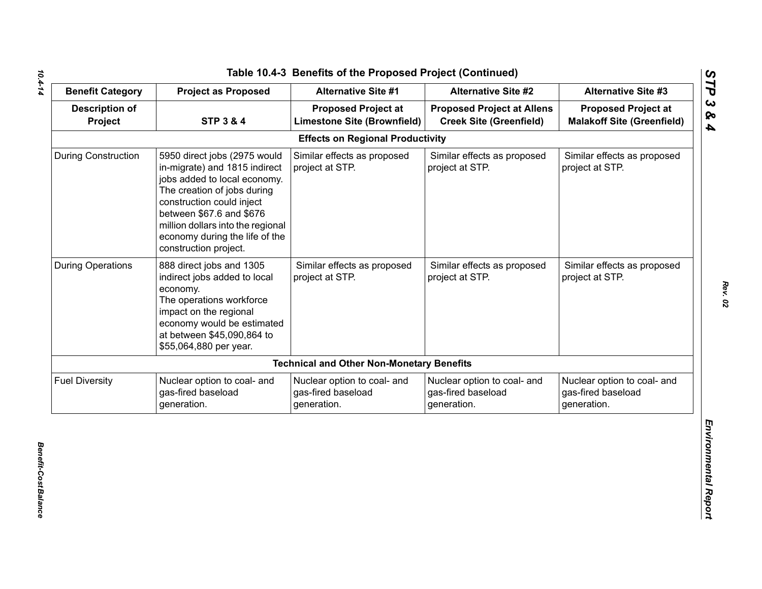| <b>Benefit Category</b>          | <b>Project as Proposed</b>                                                                                                                                                                                                                                                            | <b>Alternative Site #1</b>                                       | <b>Alternative Site #2</b>                                          | <b>Alternative Site #3</b>                                       |
|----------------------------------|---------------------------------------------------------------------------------------------------------------------------------------------------------------------------------------------------------------------------------------------------------------------------------------|------------------------------------------------------------------|---------------------------------------------------------------------|------------------------------------------------------------------|
| <b>Description of</b><br>Project | <b>STP 3 &amp; 4</b>                                                                                                                                                                                                                                                                  | <b>Proposed Project at</b><br><b>Limestone Site (Brownfield)</b> | <b>Proposed Project at Allens</b><br><b>Creek Site (Greenfield)</b> | <b>Proposed Project at</b><br><b>Malakoff Site (Greenfield)</b>  |
|                                  |                                                                                                                                                                                                                                                                                       | <b>Effects on Regional Productivity</b>                          |                                                                     |                                                                  |
| <b>During Construction</b>       | 5950 direct jobs (2975 would<br>in-migrate) and 1815 indirect<br>jobs added to local economy.<br>The creation of jobs during<br>construction could inject<br>between \$67.6 and \$676<br>million dollars into the regional<br>economy during the life of the<br>construction project. | Similar effects as proposed<br>project at STP.                   | Similar effects as proposed<br>project at STP.                      | Similar effects as proposed<br>project at STP.                   |
| <b>During Operations</b>         | 888 direct jobs and 1305<br>indirect jobs added to local<br>economy.<br>The operations workforce<br>impact on the regional<br>economy would be estimated<br>at between \$45,090,864 to<br>\$55,064,880 per year.                                                                      | Similar effects as proposed<br>project at STP.                   | Similar effects as proposed<br>project at STP.                      | Similar effects as proposed<br>project at STP.                   |
|                                  |                                                                                                                                                                                                                                                                                       | <b>Technical and Other Non-Monetary Benefits</b>                 |                                                                     |                                                                  |
| <b>Fuel Diversity</b>            | Nuclear option to coal- and<br>gas-fired baseload<br>generation.                                                                                                                                                                                                                      | Nuclear option to coal- and<br>gas-fired baseload<br>generation. | Nuclear option to coal- and<br>gas-fired baseload<br>generation.    | Nuclear option to coal- and<br>gas-fired baseload<br>generation. |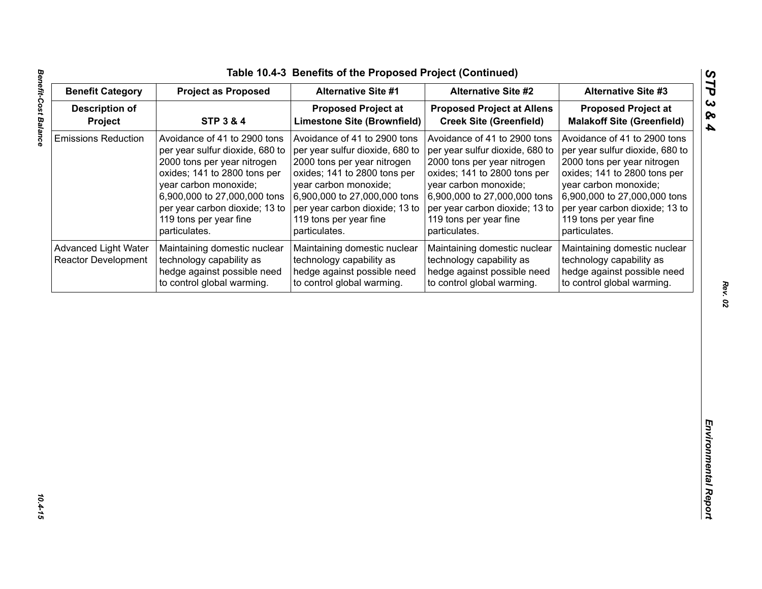| <b>Benefit Category</b>                                   | <b>Project as Proposed</b>                                                                                                                                                                                                                                           | <b>Alternative Site #1</b>                                                                                                                                                                                                                                           | <b>Alternative Site #2</b>                                                                                                                                                                                                                                           | <b>Alternative Site #3</b>                                                                                                                                                                                                                                           |
|-----------------------------------------------------------|----------------------------------------------------------------------------------------------------------------------------------------------------------------------------------------------------------------------------------------------------------------------|----------------------------------------------------------------------------------------------------------------------------------------------------------------------------------------------------------------------------------------------------------------------|----------------------------------------------------------------------------------------------------------------------------------------------------------------------------------------------------------------------------------------------------------------------|----------------------------------------------------------------------------------------------------------------------------------------------------------------------------------------------------------------------------------------------------------------------|
| <b>Description of</b><br>Project                          | <b>STP 3 &amp; 4</b>                                                                                                                                                                                                                                                 | <b>Proposed Project at</b><br><b>Limestone Site (Brownfield)</b>                                                                                                                                                                                                     | <b>Proposed Project at Allens</b><br><b>Creek Site (Greenfield)</b>                                                                                                                                                                                                  | <b>Proposed Project at</b><br><b>Malakoff Site (Greenfield)</b>                                                                                                                                                                                                      |
| <b>Emissions Reduction</b>                                | Avoidance of 41 to 2900 tons<br>per year sulfur dioxide, 680 to<br>2000 tons per year nitrogen<br>oxides; 141 to 2800 tons per<br>year carbon monoxide;<br>6,900,000 to 27,000,000 tons<br>per year carbon dioxide; 13 to<br>119 tons per year fine<br>particulates. | Avoidance of 41 to 2900 tons<br>per year sulfur dioxide, 680 to<br>2000 tons per year nitrogen<br>oxides; 141 to 2800 tons per<br>year carbon monoxide;<br>6,900,000 to 27,000,000 tons<br>per year carbon dioxide; 13 to<br>119 tons per year fine<br>particulates. | Avoidance of 41 to 2900 tons<br>per year sulfur dioxide, 680 to<br>2000 tons per year nitrogen<br>oxides; 141 to 2800 tons per<br>year carbon monoxide;<br>6,900,000 to 27,000,000 tons<br>per year carbon dioxide; 13 to<br>119 tons per year fine<br>particulates. | Avoidance of 41 to 2900 tons<br>per year sulfur dioxide, 680 to<br>2000 tons per year nitrogen<br>oxides; 141 to 2800 tons per<br>year carbon monoxide;<br>6,900,000 to 27,000,000 tons<br>per year carbon dioxide; 13 to<br>119 tons per year fine<br>particulates. |
| <b>Advanced Light Water</b><br><b>Reactor Development</b> | Maintaining domestic nuclear<br>technology capability as<br>hedge against possible need<br>to control global warming.                                                                                                                                                | Maintaining domestic nuclear<br>technology capability as<br>hedge against possible need<br>to control global warming.                                                                                                                                                | Maintaining domestic nuclear<br>technology capability as<br>hedge against possible need<br>to control global warming.                                                                                                                                                | Maintaining domestic nuclear<br>technology capability as<br>hedge against possible need<br>to control global warming.                                                                                                                                                |
|                                                           |                                                                                                                                                                                                                                                                      |                                                                                                                                                                                                                                                                      |                                                                                                                                                                                                                                                                      |                                                                                                                                                                                                                                                                      |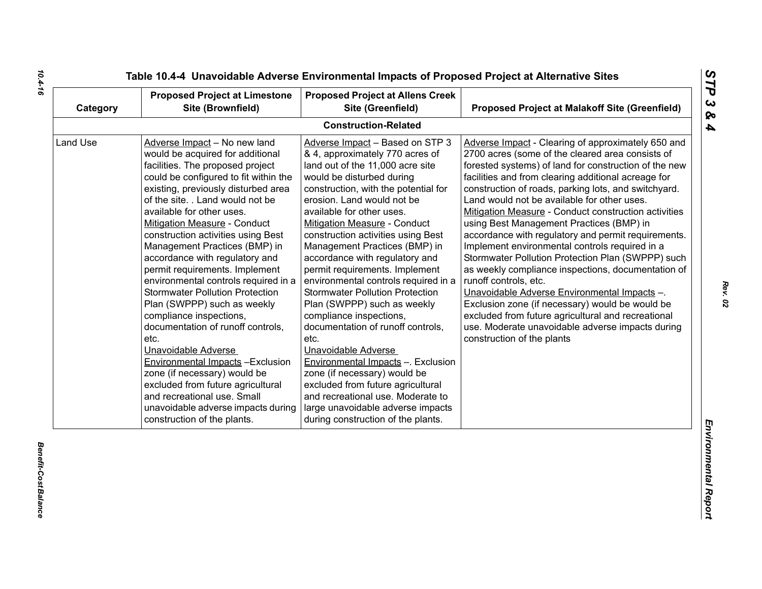| Category | <b>Proposed Project at Limestone</b><br>Site (Brownfield)                                                                                                                                                                                                                                                                                                                                                                                                                                                                                                                                                                                                                                                                                                                                                                                                                    | <b>Proposed Project at Allens Creek</b><br>Site (Greenfield)                                                                                                                                                                                                                                                                                                                                                                                                                                                                                                                                                                                                                                                                                                                                                                                                        | <b>Proposed Project at Malakoff Site (Greenfield)</b>                                                                                                                                                                                                                                                                                                                                                                                                                                                                                                                                                                                                                                                                                                                                                                                                                                                                     |
|----------|------------------------------------------------------------------------------------------------------------------------------------------------------------------------------------------------------------------------------------------------------------------------------------------------------------------------------------------------------------------------------------------------------------------------------------------------------------------------------------------------------------------------------------------------------------------------------------------------------------------------------------------------------------------------------------------------------------------------------------------------------------------------------------------------------------------------------------------------------------------------------|---------------------------------------------------------------------------------------------------------------------------------------------------------------------------------------------------------------------------------------------------------------------------------------------------------------------------------------------------------------------------------------------------------------------------------------------------------------------------------------------------------------------------------------------------------------------------------------------------------------------------------------------------------------------------------------------------------------------------------------------------------------------------------------------------------------------------------------------------------------------|---------------------------------------------------------------------------------------------------------------------------------------------------------------------------------------------------------------------------------------------------------------------------------------------------------------------------------------------------------------------------------------------------------------------------------------------------------------------------------------------------------------------------------------------------------------------------------------------------------------------------------------------------------------------------------------------------------------------------------------------------------------------------------------------------------------------------------------------------------------------------------------------------------------------------|
|          |                                                                                                                                                                                                                                                                                                                                                                                                                                                                                                                                                                                                                                                                                                                                                                                                                                                                              | <b>Construction-Related</b>                                                                                                                                                                                                                                                                                                                                                                                                                                                                                                                                                                                                                                                                                                                                                                                                                                         |                                                                                                                                                                                                                                                                                                                                                                                                                                                                                                                                                                                                                                                                                                                                                                                                                                                                                                                           |
| Land Use | Adverse Impact - No new land<br>would be acquired for additional<br>facilities. The proposed project<br>could be configured to fit within the<br>existing, previously disturbed area<br>of the site. . Land would not be<br>available for other uses.<br><b>Mitigation Measure - Conduct</b><br>construction activities using Best<br>Management Practices (BMP) in<br>accordance with regulatory and<br>permit requirements. Implement<br>environmental controls required in a<br><b>Stormwater Pollution Protection</b><br>Plan (SWPPP) such as weekly<br>compliance inspections,<br>documentation of runoff controls,<br>etc.<br>Unavoidable Adverse<br><b>Environmental Impacts - Exclusion</b><br>zone (if necessary) would be<br>excluded from future agricultural<br>and recreational use. Small<br>unavoidable adverse impacts during<br>construction of the plants. | Adverse Impact - Based on STP 3<br>& 4, approximately 770 acres of<br>land out of the 11,000 acre site<br>would be disturbed during<br>construction, with the potential for<br>erosion. Land would not be<br>available for other uses.<br><b>Mitigation Measure - Conduct</b><br>construction activities using Best<br>Management Practices (BMP) in<br>accordance with regulatory and<br>permit requirements. Implement<br>environmental controls required in a<br><b>Stormwater Pollution Protection</b><br>Plan (SWPPP) such as weekly<br>compliance inspections,<br>documentation of runoff controls,<br>etc.<br>Unavoidable Adverse<br>Environmental Impacts -. Exclusion<br>zone (if necessary) would be<br>excluded from future agricultural<br>and recreational use. Moderate to<br>large unavoidable adverse impacts<br>during construction of the plants. | Adverse Impact - Clearing of approximately 650 and<br>2700 acres (some of the cleared area consists of<br>forested systems) of land for construction of the new<br>facilities and from clearing additional acreage for<br>construction of roads, parking lots, and switchyard.<br>Land would not be available for other uses.<br>Mitigation Measure - Conduct construction activities<br>using Best Management Practices (BMP) in<br>accordance with regulatory and permit requirements.<br>Implement environmental controls required in a<br>Stormwater Pollution Protection Plan (SWPPP) such<br>as weekly compliance inspections, documentation of<br>runoff controls, etc.<br>Unavoidable Adverse Environmental Impacts -.<br>Exclusion zone (if necessary) would be would be<br>excluded from future agricultural and recreational<br>use. Moderate unavoidable adverse impacts during<br>construction of the plants |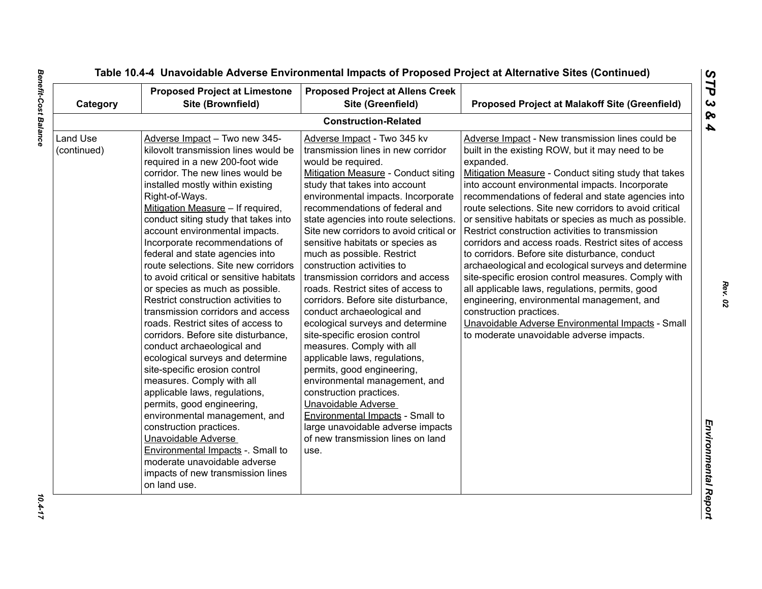| Category                | <b>Proposed Project at Limestone</b><br>Site (Brownfield)                                                                                                                                                                                                                                                                                                                                                                                                                                                                                                                                                                                                                                                                                                                                                                                                                                                                                                                                                                                                                         | <b>Proposed Project at Allens Creek</b><br>Site (Greenfield)                                                                                                                                                                                                                                                                                                                                                                                                                                                                                                                                                                                                                                                                                                                                                                                                                                                                                          | <b>Proposed Project at Malakoff Site (Greenfield)</b>                                                                                                                                                                                                                                                                                                                                                                                                                                                                                                                                                                                                                                                                                                                                                                                                                                                          |
|-------------------------|-----------------------------------------------------------------------------------------------------------------------------------------------------------------------------------------------------------------------------------------------------------------------------------------------------------------------------------------------------------------------------------------------------------------------------------------------------------------------------------------------------------------------------------------------------------------------------------------------------------------------------------------------------------------------------------------------------------------------------------------------------------------------------------------------------------------------------------------------------------------------------------------------------------------------------------------------------------------------------------------------------------------------------------------------------------------------------------|-------------------------------------------------------------------------------------------------------------------------------------------------------------------------------------------------------------------------------------------------------------------------------------------------------------------------------------------------------------------------------------------------------------------------------------------------------------------------------------------------------------------------------------------------------------------------------------------------------------------------------------------------------------------------------------------------------------------------------------------------------------------------------------------------------------------------------------------------------------------------------------------------------------------------------------------------------|----------------------------------------------------------------------------------------------------------------------------------------------------------------------------------------------------------------------------------------------------------------------------------------------------------------------------------------------------------------------------------------------------------------------------------------------------------------------------------------------------------------------------------------------------------------------------------------------------------------------------------------------------------------------------------------------------------------------------------------------------------------------------------------------------------------------------------------------------------------------------------------------------------------|
|                         |                                                                                                                                                                                                                                                                                                                                                                                                                                                                                                                                                                                                                                                                                                                                                                                                                                                                                                                                                                                                                                                                                   | <b>Construction-Related</b>                                                                                                                                                                                                                                                                                                                                                                                                                                                                                                                                                                                                                                                                                                                                                                                                                                                                                                                           |                                                                                                                                                                                                                                                                                                                                                                                                                                                                                                                                                                                                                                                                                                                                                                                                                                                                                                                |
| Land Use<br>(continued) | Adverse Impact - Two new 345-<br>kilovolt transmission lines would be<br>required in a new 200-foot wide<br>corridor. The new lines would be<br>installed mostly within existing<br>Right-of-Ways.<br>Mitigation Measure - If required,<br>conduct siting study that takes into<br>account environmental impacts.<br>Incorporate recommendations of<br>federal and state agencies into<br>route selections. Site new corridors<br>to avoid critical or sensitive habitats<br>or species as much as possible.<br>Restrict construction activities to<br>transmission corridors and access<br>roads. Restrict sites of access to<br>corridors. Before site disturbance,<br>conduct archaeological and<br>ecological surveys and determine<br>site-specific erosion control<br>measures. Comply with all<br>applicable laws, regulations,<br>permits, good engineering,<br>environmental management, and<br>construction practices.<br>Unavoidable Adverse<br>Environmental Impacts -. Small to<br>moderate unavoidable adverse<br>impacts of new transmission lines<br>on land use. | Adverse Impact - Two 345 kv<br>transmission lines in new corridor<br>would be required.<br>Mitigation Measure - Conduct siting<br>study that takes into account<br>environmental impacts. Incorporate<br>recommendations of federal and<br>state agencies into route selections.<br>Site new corridors to avoid critical or<br>sensitive habitats or species as<br>much as possible. Restrict<br>construction activities to<br>transmission corridors and access<br>roads. Restrict sites of access to<br>corridors. Before site disturbance,<br>conduct archaeological and<br>ecological surveys and determine<br>site-specific erosion control<br>measures. Comply with all<br>applicable laws, regulations,<br>permits, good engineering,<br>environmental management, and<br>construction practices.<br>Unavoidable Adverse<br>Environmental Impacts - Small to<br>large unavoidable adverse impacts<br>of new transmission lines on land<br>use. | Adverse Impact - New transmission lines could be<br>built in the existing ROW, but it may need to be<br>expanded.<br>Mitigation Measure - Conduct siting study that takes<br>into account environmental impacts. Incorporate<br>recommendations of federal and state agencies into<br>route selections. Site new corridors to avoid critical<br>or sensitive habitats or species as much as possible.<br>Restrict construction activities to transmission<br>corridors and access roads. Restrict sites of access<br>to corridors. Before site disturbance, conduct<br>archaeological and ecological surveys and determine<br>site-specific erosion control measures. Comply with<br>all applicable laws, regulations, permits, good<br>engineering, environmental management, and<br>construction practices.<br>Unavoidable Adverse Environmental Impacts - Small<br>to moderate unavoidable adverse impacts. |

 $10.4 - 17$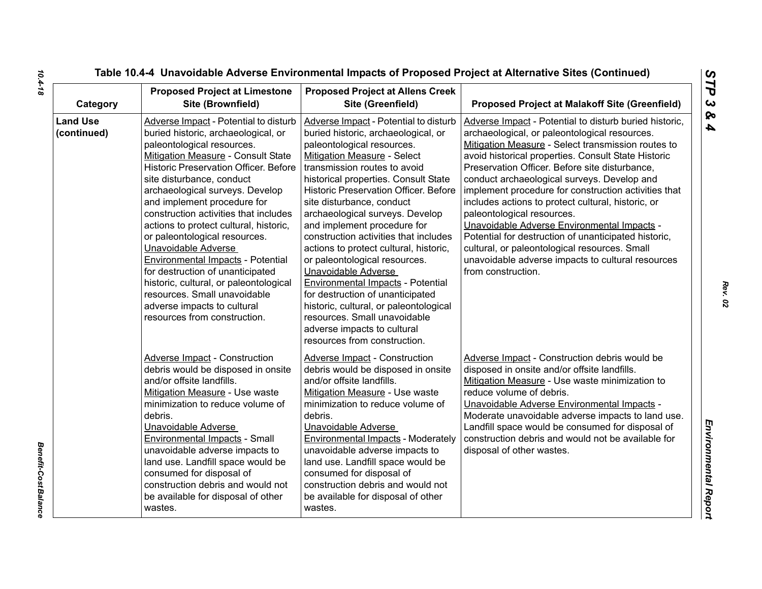| Category                       | <b>Proposed Project at Limestone</b><br>Site (Brownfield)                                                                                                                                                                                                                                                                                                                                                                                                                                                                                                                                                                                                           | <b>Proposed Project at Allens Creek</b><br>Site (Greenfield)                                                                                                                                                                                                                                                                                                                                                                                                                                                                                                                                                                                                                                                                                | <b>Proposed Project at Malakoff Site (Greenfield)</b>                                                                                                                                                                                                                                                                                                                                                                                                                                                                                                                                                                                                                                                |
|--------------------------------|---------------------------------------------------------------------------------------------------------------------------------------------------------------------------------------------------------------------------------------------------------------------------------------------------------------------------------------------------------------------------------------------------------------------------------------------------------------------------------------------------------------------------------------------------------------------------------------------------------------------------------------------------------------------|---------------------------------------------------------------------------------------------------------------------------------------------------------------------------------------------------------------------------------------------------------------------------------------------------------------------------------------------------------------------------------------------------------------------------------------------------------------------------------------------------------------------------------------------------------------------------------------------------------------------------------------------------------------------------------------------------------------------------------------------|------------------------------------------------------------------------------------------------------------------------------------------------------------------------------------------------------------------------------------------------------------------------------------------------------------------------------------------------------------------------------------------------------------------------------------------------------------------------------------------------------------------------------------------------------------------------------------------------------------------------------------------------------------------------------------------------------|
| <b>Land Use</b><br>(continued) | Adverse Impact - Potential to disturb<br>buried historic, archaeological, or<br>paleontological resources.<br><b>Mitigation Measure - Consult State</b><br><b>Historic Preservation Officer. Before</b><br>site disturbance, conduct<br>archaeological surveys. Develop<br>and implement procedure for<br>construction activities that includes<br>actions to protect cultural, historic,<br>or paleontological resources.<br>Unavoidable Adverse<br>Environmental Impacts - Potential<br>for destruction of unanticipated<br>historic, cultural, or paleontological<br>resources. Small unavoidable<br>adverse impacts to cultural<br>resources from construction. | Adverse Impact - Potential to disturb<br>buried historic, archaeological, or<br>paleontological resources.<br><b>Mitigation Measure - Select</b><br>transmission routes to avoid<br>historical properties. Consult State<br><b>Historic Preservation Officer. Before</b><br>site disturbance, conduct<br>archaeological surveys. Develop<br>and implement procedure for<br>construction activities that includes<br>actions to protect cultural, historic,<br>or paleontological resources.<br>Unavoidable Adverse<br><b>Environmental Impacts - Potential</b><br>for destruction of unanticipated<br>historic, cultural, or paleontological<br>resources. Small unavoidable<br>adverse impacts to cultural<br>resources from construction. | Adverse Impact - Potential to disturb buried historic,<br>archaeological, or paleontological resources.<br>Mitigation Measure - Select transmission routes to<br>avoid historical properties. Consult State Historic<br>Preservation Officer. Before site disturbance,<br>conduct archaeological surveys. Develop and<br>implement procedure for construction activities that<br>includes actions to protect cultural, historic, or<br>paleontological resources.<br>Unavoidable Adverse Environmental Impacts -<br>Potential for destruction of unanticipated historic,<br>cultural, or paleontological resources. Small<br>unavoidable adverse impacts to cultural resources<br>from construction. |
|                                | <b>Adverse Impact - Construction</b><br>debris would be disposed in onsite<br>and/or offsite landfills.<br>Mitigation Measure - Use waste<br>minimization to reduce volume of<br>debris.<br>Unavoidable Adverse<br>Environmental Impacts - Small<br>unavoidable adverse impacts to<br>land use. Landfill space would be<br>consumed for disposal of<br>construction debris and would not<br>be available for disposal of other<br>wastes.                                                                                                                                                                                                                           | <b>Adverse Impact - Construction</b><br>debris would be disposed in onsite<br>and/or offsite landfills.<br>Mitigation Measure - Use waste<br>minimization to reduce volume of<br>debris.<br>Unavoidable Adverse<br>Environmental Impacts - Moderately<br>unavoidable adverse impacts to<br>land use. Landfill space would be<br>consumed for disposal of<br>construction debris and would not<br>be available for disposal of other<br>wastes.                                                                                                                                                                                                                                                                                              | Adverse Impact - Construction debris would be<br>disposed in onsite and/or offsite landfills.<br>Mitigation Measure - Use waste minimization to<br>reduce volume of debris.<br>Unavoidable Adverse Environmental Impacts -<br>Moderate unavoidable adverse impacts to land use.<br>Landfill space would be consumed for disposal of<br>construction debris and would not be available for<br>disposal of other wastes.                                                                                                                                                                                                                                                                               |

**Benefit-Cost Balance** *Benefit-Cost Balance*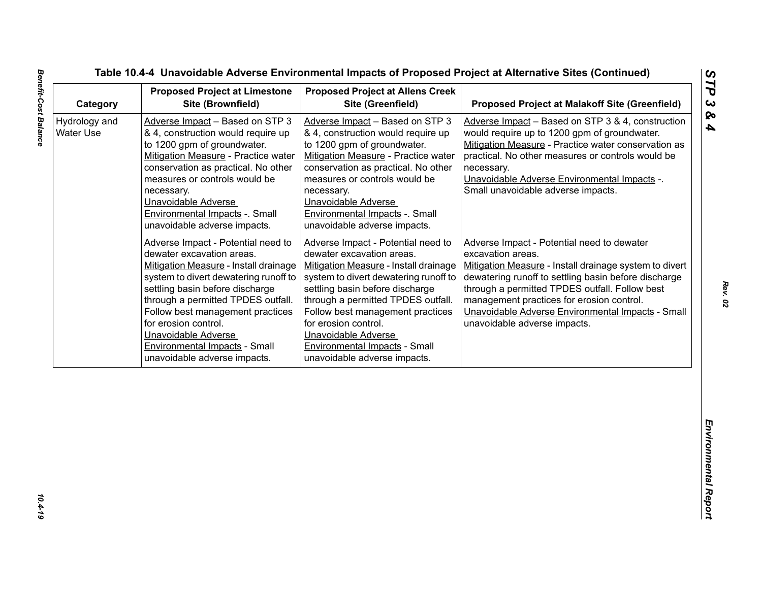| Category                          | <b>Proposed Project at Limestone</b><br>Site (Brownfield)                                                                                                                                                                                                                                                                                                                             | <b>Proposed Project at Allens Creek</b><br>Site (Greenfield)                                                                                                                                                                                                                                                                                                                          | <b>Proposed Project at Malakoff Site (Greenfield)</b>                                                                                                                                                                                                                                                                                                                 |
|-----------------------------------|---------------------------------------------------------------------------------------------------------------------------------------------------------------------------------------------------------------------------------------------------------------------------------------------------------------------------------------------------------------------------------------|---------------------------------------------------------------------------------------------------------------------------------------------------------------------------------------------------------------------------------------------------------------------------------------------------------------------------------------------------------------------------------------|-----------------------------------------------------------------------------------------------------------------------------------------------------------------------------------------------------------------------------------------------------------------------------------------------------------------------------------------------------------------------|
| Hydrology and<br><b>Water Use</b> | Adverse Impact - Based on STP 3<br>& 4, construction would require up<br>to 1200 gpm of groundwater.<br>Mitigation Measure - Practice water<br>conservation as practical. No other<br>measures or controls would be<br>necessary.<br>Unavoidable Adverse<br>Environmental Impacts -. Small<br>unavoidable adverse impacts.                                                            | Adverse Impact - Based on STP 3<br>& 4, construction would require up<br>to 1200 gpm of groundwater.<br>Mitigation Measure - Practice water<br>conservation as practical. No other<br>measures or controls would be<br>necessary.<br>Unavoidable Adverse<br>Environmental Impacts -. Small<br>unavoidable adverse impacts.                                                            | Adverse Impact - Based on STP 3 & 4, construction<br>would require up to 1200 gpm of groundwater.<br>Mitigation Measure - Practice water conservation as<br>practical. No other measures or controls would be<br>necessary.<br>Unavoidable Adverse Environmental Impacts -.<br>Small unavoidable adverse impacts.                                                     |
|                                   | Adverse Impact - Potential need to<br>dewater excavation areas.<br>Mitigation Measure - Install drainage<br>system to divert dewatering runoff to<br>settling basin before discharge<br>through a permitted TPDES outfall.<br>Follow best management practices<br>for erosion control.<br>Unavoidable Adverse<br><b>Environmental Impacts - Small</b><br>unavoidable adverse impacts. | Adverse Impact - Potential need to<br>dewater excavation areas.<br>Mitigation Measure - Install drainage<br>system to divert dewatering runoff to<br>settling basin before discharge<br>through a permitted TPDES outfall.<br>Follow best management practices<br>for erosion control.<br>Unavoidable Adverse<br><b>Environmental Impacts - Small</b><br>unavoidable adverse impacts. | Adverse Impact - Potential need to dewater<br>excavation areas.<br>Mitigation Measure - Install drainage system to divert<br>dewatering runoff to settling basin before discharge<br>through a permitted TPDES outfall. Follow best<br>management practices for erosion control.<br>Unavoidable Adverse Environmental Impacts - Small<br>unavoidable adverse impacts. |
|                                   |                                                                                                                                                                                                                                                                                                                                                                                       |                                                                                                                                                                                                                                                                                                                                                                                       |                                                                                                                                                                                                                                                                                                                                                                       |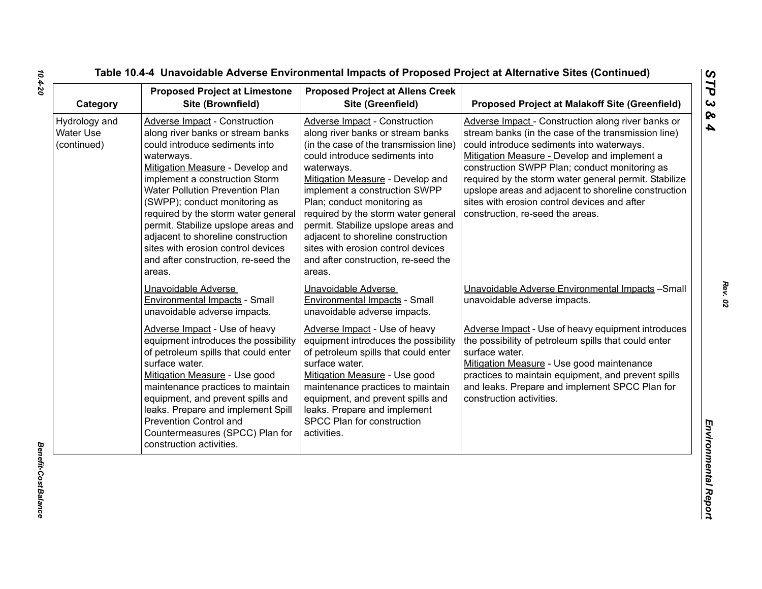| Category                                  | <b>Proposed Project at Limestone</b><br>Site (Brownfield)                                                                                                                                                                                                                                                                                                                                                                                                                             | <b>Proposed Project at Allens Creek</b><br>Site (Greenfield)                                                                                                                                                                                                                                                                                                                                                                                                                | <b>Proposed Project at Malakoff Site (Greenfield)</b>                                                                                                                                                                                                                                                                                                                                                                                                        |
|-------------------------------------------|---------------------------------------------------------------------------------------------------------------------------------------------------------------------------------------------------------------------------------------------------------------------------------------------------------------------------------------------------------------------------------------------------------------------------------------------------------------------------------------|-----------------------------------------------------------------------------------------------------------------------------------------------------------------------------------------------------------------------------------------------------------------------------------------------------------------------------------------------------------------------------------------------------------------------------------------------------------------------------|--------------------------------------------------------------------------------------------------------------------------------------------------------------------------------------------------------------------------------------------------------------------------------------------------------------------------------------------------------------------------------------------------------------------------------------------------------------|
| Hydrology and<br>Water Use<br>(continued) | <b>Adverse Impact - Construction</b><br>along river banks or stream banks<br>could introduce sediments into<br>waterways.<br>Mitigation Measure - Develop and<br>implement a construction Storm<br><b>Water Pollution Prevention Plan</b><br>(SWPP); conduct monitoring as<br>required by the storm water general<br>permit. Stabilize upslope areas and<br>adjacent to shoreline construction<br>sites with erosion control devices<br>and after construction, re-seed the<br>areas. | Adverse Impact - Construction<br>along river banks or stream banks<br>(in the case of the transmission line)<br>could introduce sediments into<br>waterways.<br>Mitigation Measure - Develop and<br>implement a construction SWPP<br>Plan; conduct monitoring as<br>required by the storm water general<br>permit. Stabilize upslope areas and<br>adjacent to shoreline construction<br>sites with erosion control devices<br>and after construction, re-seed the<br>areas. | Adverse Impact - Construction along river banks or<br>stream banks (in the case of the transmission line)<br>could introduce sediments into waterways.<br>Mitigation Measure - Develop and implement a<br>construction SWPP Plan; conduct monitoring as<br>required by the storm water general permit. Stabilize<br>upslope areas and adjacent to shoreline construction<br>sites with erosion control devices and after<br>construction, re-seed the areas. |
|                                           | Unavoidable Adverse<br><b>Environmental Impacts - Small</b><br>unavoidable adverse impacts.                                                                                                                                                                                                                                                                                                                                                                                           | Unavoidable Adverse<br>Environmental Impacts - Small<br>unavoidable adverse impacts.                                                                                                                                                                                                                                                                                                                                                                                        | Unavoidable Adverse Environmental Impacts - Small<br>unavoidable adverse impacts.                                                                                                                                                                                                                                                                                                                                                                            |
|                                           | Adverse Impact - Use of heavy<br>equipment introduces the possibility<br>of petroleum spills that could enter<br>surface water.<br>Mitigation Measure - Use good<br>maintenance practices to maintain<br>equipment, and prevent spills and<br>leaks. Prepare and implement Spill<br>Prevention Control and<br>Countermeasures (SPCC) Plan for<br>construction activities.                                                                                                             | Adverse Impact - Use of heavy<br>equipment introduces the possibility<br>of petroleum spills that could enter<br>surface water.<br>Mitigation Measure - Use good<br>maintenance practices to maintain<br>equipment, and prevent spills and<br>leaks. Prepare and implement<br>SPCC Plan for construction<br>activities.                                                                                                                                                     | Adverse Impact - Use of heavy equipment introduces<br>the possibility of petroleum spills that could enter<br>surface water.<br>Mitigation Measure - Use good maintenance<br>practices to maintain equipment, and prevent spills<br>and leaks. Prepare and implement SPCC Plan for<br>construction activities.                                                                                                                                               |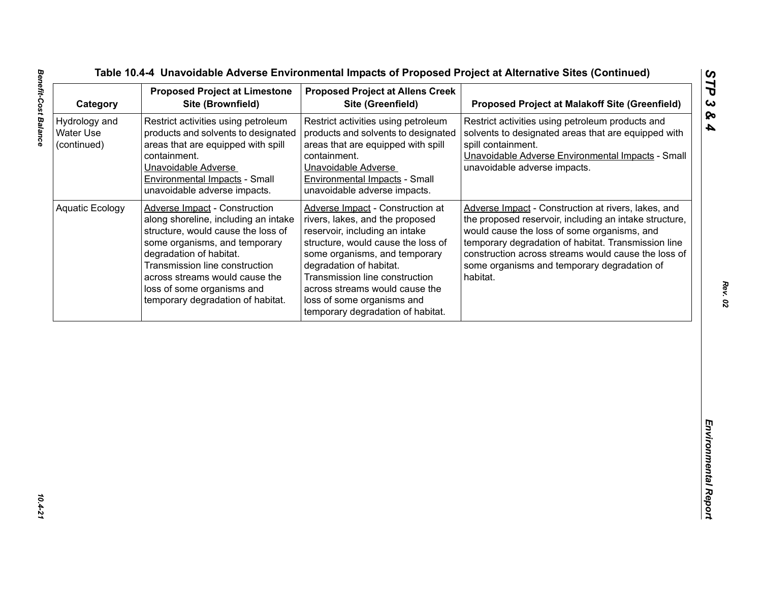| Category                                         | <b>Proposed Project at Limestone</b><br>Site (Brownfield)                                                                                                                                                                                                                                                             | <b>Proposed Project at Allens Creek</b><br>Site (Greenfield)                                                                                                                                                                                                                                                                                   | <b>Proposed Project at Malakoff Site (Greenfield)</b>                                                                                                                                                                                                                                                                                 |
|--------------------------------------------------|-----------------------------------------------------------------------------------------------------------------------------------------------------------------------------------------------------------------------------------------------------------------------------------------------------------------------|------------------------------------------------------------------------------------------------------------------------------------------------------------------------------------------------------------------------------------------------------------------------------------------------------------------------------------------------|---------------------------------------------------------------------------------------------------------------------------------------------------------------------------------------------------------------------------------------------------------------------------------------------------------------------------------------|
| Hydrology and<br><b>Water Use</b><br>(continued) | Restrict activities using petroleum<br>products and solvents to designated<br>areas that are equipped with spill<br>containment.<br>Unavoidable Adverse<br>Environmental Impacts - Small<br>unavoidable adverse impacts.                                                                                              | Restrict activities using petroleum<br>products and solvents to designated<br>areas that are equipped with spill<br>containment.<br>Unavoidable Adverse<br>Environmental Impacts - Small<br>unavoidable adverse impacts.                                                                                                                       | Restrict activities using petroleum products and<br>solvents to designated areas that are equipped with<br>spill containment.<br>Unavoidable Adverse Environmental Impacts - Small<br>unavoidable adverse impacts.                                                                                                                    |
| <b>Aquatic Ecology</b>                           | <b>Adverse Impact - Construction</b><br>along shoreline, including an intake<br>structure, would cause the loss of<br>some organisms, and temporary<br>degradation of habitat.<br>Transmission line construction<br>across streams would cause the<br>loss of some organisms and<br>temporary degradation of habitat. | Adverse Impact - Construction at<br>rivers, lakes, and the proposed<br>reservoir, including an intake<br>structure, would cause the loss of<br>some organisms, and temporary<br>degradation of habitat.<br>Transmission line construction<br>across streams would cause the<br>loss of some organisms and<br>temporary degradation of habitat. | Adverse Impact - Construction at rivers, lakes, and<br>the proposed reservoir, including an intake structure,<br>would cause the loss of some organisms, and<br>temporary degradation of habitat. Transmission line<br>construction across streams would cause the loss of<br>some organisms and temporary degradation of<br>habitat. |
|                                                  |                                                                                                                                                                                                                                                                                                                       |                                                                                                                                                                                                                                                                                                                                                |                                                                                                                                                                                                                                                                                                                                       |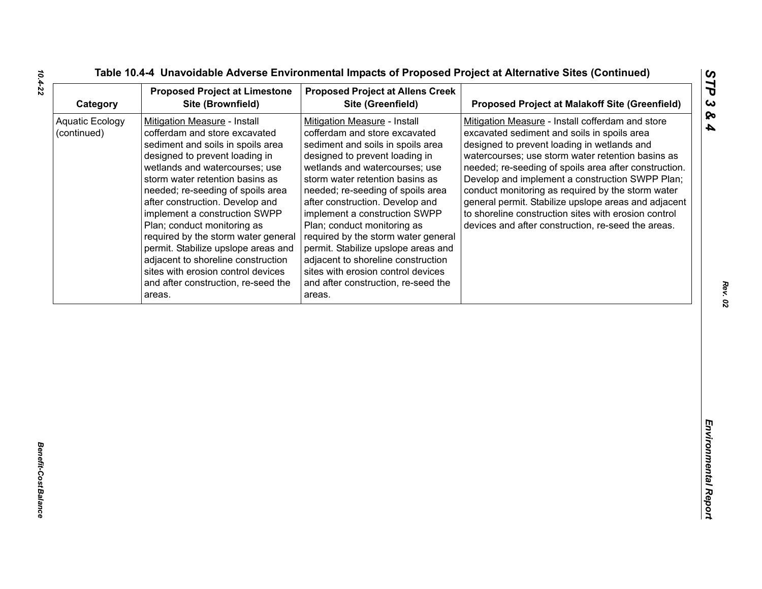| Category                       | <b>Proposed Project at Limestone</b><br>Site (Brownfield)                                                                                                                                                                                                                                                                                                                                                                                                                                                                                                    | <b>Proposed Project at Allens Creek</b><br>Site (Greenfield)                                                                                                                                                                                                                                                                                                                                                                                                                                                                                                 | <b>Proposed Project at Malakoff Site (Greenfield)</b>                                                                                                                                                                                                                                                                                                                                                                                                                                                                                      |
|--------------------------------|--------------------------------------------------------------------------------------------------------------------------------------------------------------------------------------------------------------------------------------------------------------------------------------------------------------------------------------------------------------------------------------------------------------------------------------------------------------------------------------------------------------------------------------------------------------|--------------------------------------------------------------------------------------------------------------------------------------------------------------------------------------------------------------------------------------------------------------------------------------------------------------------------------------------------------------------------------------------------------------------------------------------------------------------------------------------------------------------------------------------------------------|--------------------------------------------------------------------------------------------------------------------------------------------------------------------------------------------------------------------------------------------------------------------------------------------------------------------------------------------------------------------------------------------------------------------------------------------------------------------------------------------------------------------------------------------|
| Aquatic Ecology<br>(continued) | Mitigation Measure - Install<br>cofferdam and store excavated<br>sediment and soils in spoils area<br>designed to prevent loading in<br>wetlands and watercourses; use<br>storm water retention basins as<br>needed; re-seeding of spoils area<br>after construction. Develop and<br>implement a construction SWPP<br>Plan; conduct monitoring as<br>required by the storm water general<br>permit. Stabilize upslope areas and<br>adjacent to shoreline construction<br>sites with erosion control devices<br>and after construction, re-seed the<br>areas. | Mitigation Measure - Install<br>cofferdam and store excavated<br>sediment and soils in spoils area<br>designed to prevent loading in<br>wetlands and watercourses; use<br>storm water retention basins as<br>needed; re-seeding of spoils area<br>after construction. Develop and<br>implement a construction SWPP<br>Plan; conduct monitoring as<br>required by the storm water general<br>permit. Stabilize upslope areas and<br>adjacent to shoreline construction<br>sites with erosion control devices<br>and after construction, re-seed the<br>areas. | Mitigation Measure - Install cofferdam and store<br>excavated sediment and soils in spoils area<br>designed to prevent loading in wetlands and<br>watercourses; use storm water retention basins as<br>needed; re-seeding of spoils area after construction.<br>Develop and implement a construction SWPP Plan;<br>conduct monitoring as required by the storm water<br>general permit. Stabilize upslope areas and adjacent<br>to shoreline construction sites with erosion control<br>devices and after construction, re-seed the areas. |
|                                |                                                                                                                                                                                                                                                                                                                                                                                                                                                                                                                                                              |                                                                                                                                                                                                                                                                                                                                                                                                                                                                                                                                                              |                                                                                                                                                                                                                                                                                                                                                                                                                                                                                                                                            |

*Rev. 02*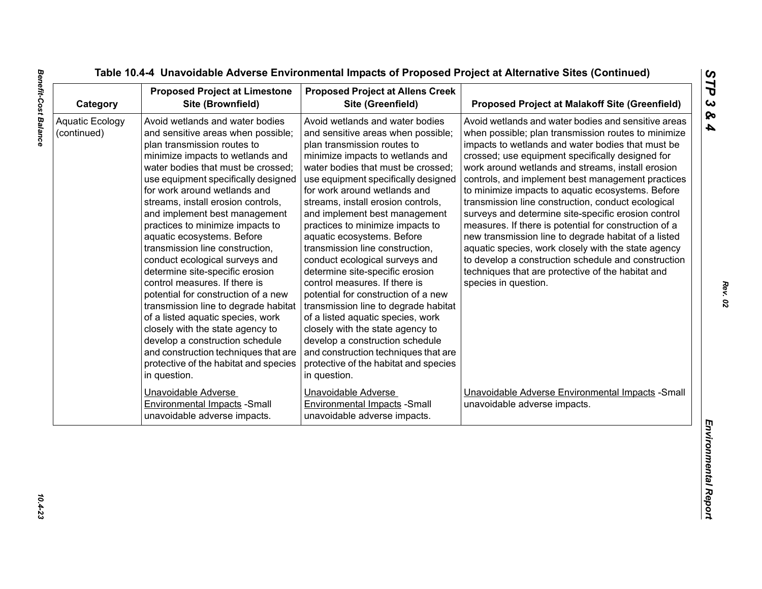| Category                              | <b>Proposed Project at Limestone</b><br>Site (Brownfield)                                                                                                                                                                                                                                                                                                                                                                                                                                                                                                                                                                                                                                                                                                                                                                           | <b>Proposed Project at Allens Creek</b><br>Site (Greenfield)                                                                                                                                                                                                                                                                                                                                                                                                                                                                                                                                                                                                                                                                                                                                                                        | <b>Proposed Project at Malakoff Site (Greenfield)</b>                                                                                                                                                                                                                                                                                                                                                                                                                                                                                                                                                                                                                                                                                                                                                       |
|---------------------------------------|-------------------------------------------------------------------------------------------------------------------------------------------------------------------------------------------------------------------------------------------------------------------------------------------------------------------------------------------------------------------------------------------------------------------------------------------------------------------------------------------------------------------------------------------------------------------------------------------------------------------------------------------------------------------------------------------------------------------------------------------------------------------------------------------------------------------------------------|-------------------------------------------------------------------------------------------------------------------------------------------------------------------------------------------------------------------------------------------------------------------------------------------------------------------------------------------------------------------------------------------------------------------------------------------------------------------------------------------------------------------------------------------------------------------------------------------------------------------------------------------------------------------------------------------------------------------------------------------------------------------------------------------------------------------------------------|-------------------------------------------------------------------------------------------------------------------------------------------------------------------------------------------------------------------------------------------------------------------------------------------------------------------------------------------------------------------------------------------------------------------------------------------------------------------------------------------------------------------------------------------------------------------------------------------------------------------------------------------------------------------------------------------------------------------------------------------------------------------------------------------------------------|
| <b>Aquatic Ecology</b><br>(continued) | Avoid wetlands and water bodies<br>and sensitive areas when possible;<br>plan transmission routes to<br>minimize impacts to wetlands and<br>water bodies that must be crossed;<br>use equipment specifically designed<br>for work around wetlands and<br>streams, install erosion controls,<br>and implement best management<br>practices to minimize impacts to<br>aquatic ecosystems. Before<br>transmission line construction,<br>conduct ecological surveys and<br>determine site-specific erosion<br>control measures. If there is<br>potential for construction of a new<br>transmission line to degrade habitat<br>of a listed aquatic species, work<br>closely with the state agency to<br>develop a construction schedule<br>and construction techniques that are<br>protective of the habitat and species<br>in question. | Avoid wetlands and water bodies<br>and sensitive areas when possible;<br>plan transmission routes to<br>minimize impacts to wetlands and<br>water bodies that must be crossed;<br>use equipment specifically designed<br>for work around wetlands and<br>streams, install erosion controls,<br>and implement best management<br>practices to minimize impacts to<br>aquatic ecosystems. Before<br>transmission line construction,<br>conduct ecological surveys and<br>determine site-specific erosion<br>control measures. If there is<br>potential for construction of a new<br>transmission line to degrade habitat<br>of a listed aquatic species, work<br>closely with the state agency to<br>develop a construction schedule<br>and construction techniques that are<br>protective of the habitat and species<br>in question. | Avoid wetlands and water bodies and sensitive areas<br>when possible; plan transmission routes to minimize<br>impacts to wetlands and water bodies that must be<br>crossed; use equipment specifically designed for<br>work around wetlands and streams, install erosion<br>controls, and implement best management practices<br>to minimize impacts to aquatic ecosystems. Before<br>transmission line construction, conduct ecological<br>surveys and determine site-specific erosion control<br>measures. If there is potential for construction of a<br>new transmission line to degrade habitat of a listed<br>aquatic species, work closely with the state agency<br>to develop a construction schedule and construction<br>techniques that are protective of the habitat and<br>species in question. |
|                                       | Unavoidable Adverse<br><b>Environmental Impacts -Small</b><br>unavoidable adverse impacts.                                                                                                                                                                                                                                                                                                                                                                                                                                                                                                                                                                                                                                                                                                                                          | Unavoidable Adverse<br><b>Environmental Impacts - Small</b><br>unavoidable adverse impacts.                                                                                                                                                                                                                                                                                                                                                                                                                                                                                                                                                                                                                                                                                                                                         | Unavoidable Adverse Environmental Impacts - Small<br>unavoidable adverse impacts.                                                                                                                                                                                                                                                                                                                                                                                                                                                                                                                                                                                                                                                                                                                           |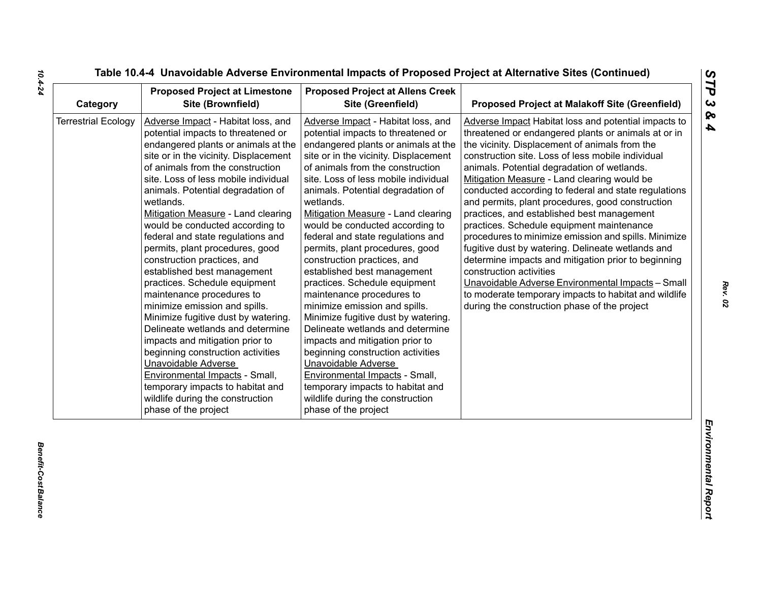| Category                   | <b>Proposed Project at Limestone</b><br>Site (Brownfield)                                                                                                                                                                                                                                                                                                                                                                                                                                                                                                                                                                                                                                                                                                                                                                                                                                                        | <b>Proposed Project at Allens Creek</b><br>Site (Greenfield)                                                                                                                                                                                                                                                                                                                                                                                                                                                                                                                                                                                                                                                                                                                                                                                                                                                     | <b>Proposed Project at Malakoff Site (Greenfield)</b>                                                                                                                                                                                                                                                                                                                                                                                                                                                                                                                                                                                                                                                                                                                                                                                                                                |
|----------------------------|------------------------------------------------------------------------------------------------------------------------------------------------------------------------------------------------------------------------------------------------------------------------------------------------------------------------------------------------------------------------------------------------------------------------------------------------------------------------------------------------------------------------------------------------------------------------------------------------------------------------------------------------------------------------------------------------------------------------------------------------------------------------------------------------------------------------------------------------------------------------------------------------------------------|------------------------------------------------------------------------------------------------------------------------------------------------------------------------------------------------------------------------------------------------------------------------------------------------------------------------------------------------------------------------------------------------------------------------------------------------------------------------------------------------------------------------------------------------------------------------------------------------------------------------------------------------------------------------------------------------------------------------------------------------------------------------------------------------------------------------------------------------------------------------------------------------------------------|--------------------------------------------------------------------------------------------------------------------------------------------------------------------------------------------------------------------------------------------------------------------------------------------------------------------------------------------------------------------------------------------------------------------------------------------------------------------------------------------------------------------------------------------------------------------------------------------------------------------------------------------------------------------------------------------------------------------------------------------------------------------------------------------------------------------------------------------------------------------------------------|
| <b>Terrestrial Ecology</b> | Adverse Impact - Habitat loss, and<br>potential impacts to threatened or<br>endangered plants or animals at the<br>site or in the vicinity. Displacement<br>of animals from the construction<br>site. Loss of less mobile individual<br>animals. Potential degradation of<br>wetlands.<br>Mitigation Measure - Land clearing<br>would be conducted according to<br>federal and state regulations and<br>permits, plant procedures, good<br>construction practices, and<br>established best management<br>practices. Schedule equipment<br>maintenance procedures to<br>minimize emission and spills.<br>Minimize fugitive dust by watering.<br>Delineate wetlands and determine<br>impacts and mitigation prior to<br>beginning construction activities<br>Unavoidable Adverse<br>Environmental Impacts - Small,<br>temporary impacts to habitat and<br>wildlife during the construction<br>phase of the project | Adverse Impact - Habitat loss, and<br>potential impacts to threatened or<br>endangered plants or animals at the<br>site or in the vicinity. Displacement<br>of animals from the construction<br>site. Loss of less mobile individual<br>animals. Potential degradation of<br>wetlands.<br>Mitigation Measure - Land clearing<br>would be conducted according to<br>federal and state regulations and<br>permits, plant procedures, good<br>construction practices, and<br>established best management<br>practices. Schedule equipment<br>maintenance procedures to<br>minimize emission and spills.<br>Minimize fugitive dust by watering.<br>Delineate wetlands and determine<br>impacts and mitigation prior to<br>beginning construction activities<br>Unavoidable Adverse<br>Environmental Impacts - Small,<br>temporary impacts to habitat and<br>wildlife during the construction<br>phase of the project | Adverse Impact Habitat loss and potential impacts to<br>threatened or endangered plants or animals at or in<br>the vicinity. Displacement of animals from the<br>construction site. Loss of less mobile individual<br>animals. Potential degradation of wetlands.<br>Mitigation Measure - Land clearing would be<br>conducted according to federal and state regulations<br>and permits, plant procedures, good construction<br>practices, and established best management<br>practices. Schedule equipment maintenance<br>procedures to minimize emission and spills. Minimize<br>fugitive dust by watering. Delineate wetlands and<br>determine impacts and mitigation prior to beginning<br>construction activities<br>Unavoidable Adverse Environmental Impacts - Small<br>to moderate temporary impacts to habitat and wildlife<br>during the construction phase of the project |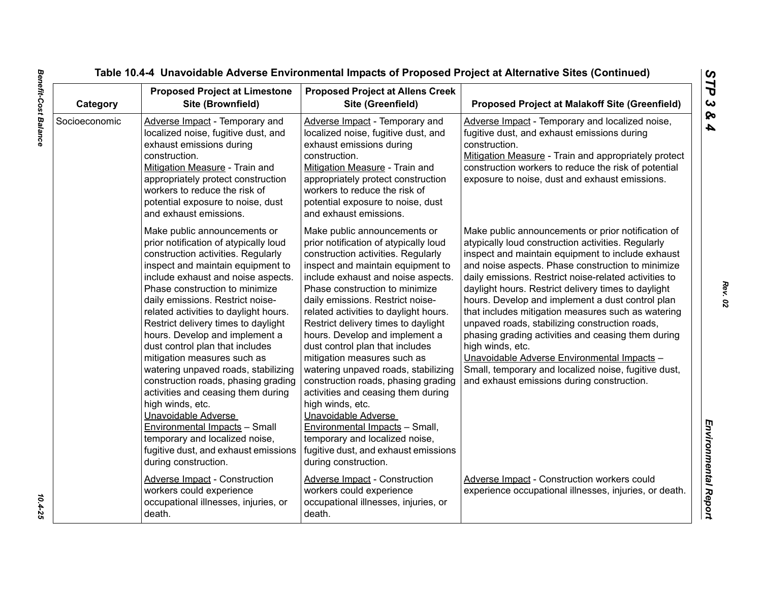| Category      | <b>Proposed Project at Limestone</b><br>Site (Brownfield)                                                                                                                                                                                                                                                                                                                                                                                                                                                                                                                                                                                                                                                                                                 | <b>Proposed Project at Allens Creek</b><br>Site (Greenfield)                                                                                                                                                                                                                                                                                                                                                                                                                                                                                                                                                                                                                                                                                        | <b>Proposed Project at Malakoff Site (Greenfield)</b>                                                                                                                                                                                                                                                                                                                                                                                                                                                                                                                                                                                                                                                                         |
|---------------|-----------------------------------------------------------------------------------------------------------------------------------------------------------------------------------------------------------------------------------------------------------------------------------------------------------------------------------------------------------------------------------------------------------------------------------------------------------------------------------------------------------------------------------------------------------------------------------------------------------------------------------------------------------------------------------------------------------------------------------------------------------|-----------------------------------------------------------------------------------------------------------------------------------------------------------------------------------------------------------------------------------------------------------------------------------------------------------------------------------------------------------------------------------------------------------------------------------------------------------------------------------------------------------------------------------------------------------------------------------------------------------------------------------------------------------------------------------------------------------------------------------------------------|-------------------------------------------------------------------------------------------------------------------------------------------------------------------------------------------------------------------------------------------------------------------------------------------------------------------------------------------------------------------------------------------------------------------------------------------------------------------------------------------------------------------------------------------------------------------------------------------------------------------------------------------------------------------------------------------------------------------------------|
| Socioeconomic | Adverse Impact - Temporary and<br>localized noise, fugitive dust, and<br>exhaust emissions during<br>construction.<br>Mitigation Measure - Train and<br>appropriately protect construction<br>workers to reduce the risk of<br>potential exposure to noise, dust<br>and exhaust emissions.                                                                                                                                                                                                                                                                                                                                                                                                                                                                | Adverse Impact - Temporary and<br>localized noise, fugitive dust, and<br>exhaust emissions during<br>construction.<br>Mitigation Measure - Train and<br>appropriately protect construction<br>workers to reduce the risk of<br>potential exposure to noise, dust<br>and exhaust emissions.                                                                                                                                                                                                                                                                                                                                                                                                                                                          | Adverse Impact - Temporary and localized noise,<br>fugitive dust, and exhaust emissions during<br>construction.<br>Mitigation Measure - Train and appropriately protect<br>construction workers to reduce the risk of potential<br>exposure to noise, dust and exhaust emissions.                                                                                                                                                                                                                                                                                                                                                                                                                                             |
|               | Make public announcements or<br>prior notification of atypically loud<br>construction activities. Regularly<br>inspect and maintain equipment to<br>include exhaust and noise aspects.<br>Phase construction to minimize<br>daily emissions. Restrict noise-<br>related activities to daylight hours.<br>Restrict delivery times to daylight<br>hours. Develop and implement a<br>dust control plan that includes<br>mitigation measures such as<br>watering unpaved roads, stabilizing<br>construction roads, phasing grading<br>activities and ceasing them during<br>high winds, etc.<br>Unavoidable Adverse<br><b>Environmental Impacts - Small</b><br>temporary and localized noise,<br>fugitive dust, and exhaust emissions<br>during construction. | Make public announcements or<br>prior notification of atypically loud<br>construction activities. Regularly<br>inspect and maintain equipment to<br>include exhaust and noise aspects.<br>Phase construction to minimize<br>daily emissions. Restrict noise-<br>related activities to daylight hours.<br>Restrict delivery times to daylight<br>hours. Develop and implement a<br>dust control plan that includes<br>mitigation measures such as<br>watering unpaved roads, stabilizing<br>construction roads, phasing grading<br>activities and ceasing them during<br>high winds, etc.<br>Unavoidable Adverse<br>Environmental Impacts - Small,<br>temporary and localized noise,<br>fugitive dust, and exhaust emissions<br>during construction. | Make public announcements or prior notification of<br>atypically loud construction activities. Regularly<br>inspect and maintain equipment to include exhaust<br>and noise aspects. Phase construction to minimize<br>daily emissions. Restrict noise-related activities to<br>daylight hours. Restrict delivery times to daylight<br>hours. Develop and implement a dust control plan<br>that includes mitigation measures such as watering<br>unpaved roads, stabilizing construction roads,<br>phasing grading activities and ceasing them during<br>high winds, etc.<br>Unavoidable Adverse Environmental Impacts -<br>Small, temporary and localized noise, fugitive dust,<br>and exhaust emissions during construction. |
|               | <b>Adverse Impact - Construction</b><br>workers could experience<br>occupational illnesses, injuries, or<br>death.                                                                                                                                                                                                                                                                                                                                                                                                                                                                                                                                                                                                                                        | Adverse Impact - Construction<br>workers could experience<br>occupational illnesses, injuries, or<br>death.                                                                                                                                                                                                                                                                                                                                                                                                                                                                                                                                                                                                                                         | Adverse Impact - Construction workers could<br>experience occupational illnesses, injuries, or death.                                                                                                                                                                                                                                                                                                                                                                                                                                                                                                                                                                                                                         |

10.4-25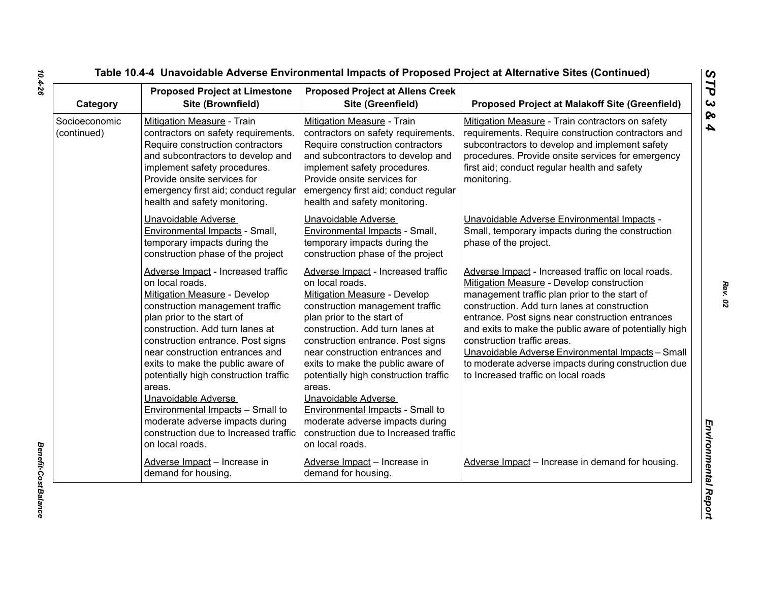| Category                     | <b>Proposed Project at Limestone</b><br>Site (Brownfield)                                                                                                                                                                                                                                                                                                                                                                                                                                                                  | <b>Proposed Project at Allens Creek</b><br>Site (Greenfield)                                                                                                                                                                                                                                                                                                                                                                                                                                                                      | <b>Proposed Project at Malakoff Site (Greenfield)</b>                                                                                                                                                                                                                                                                                                                                                                                                                                            |
|------------------------------|----------------------------------------------------------------------------------------------------------------------------------------------------------------------------------------------------------------------------------------------------------------------------------------------------------------------------------------------------------------------------------------------------------------------------------------------------------------------------------------------------------------------------|-----------------------------------------------------------------------------------------------------------------------------------------------------------------------------------------------------------------------------------------------------------------------------------------------------------------------------------------------------------------------------------------------------------------------------------------------------------------------------------------------------------------------------------|--------------------------------------------------------------------------------------------------------------------------------------------------------------------------------------------------------------------------------------------------------------------------------------------------------------------------------------------------------------------------------------------------------------------------------------------------------------------------------------------------|
| Socioeconomic<br>(continued) | Mitigation Measure - Train<br>contractors on safety requirements.<br>Require construction contractors<br>and subcontractors to develop and<br>implement safety procedures.<br>Provide onsite services for<br>emergency first aid; conduct regular<br>health and safety monitoring.                                                                                                                                                                                                                                         | Mitigation Measure - Train<br>contractors on safety requirements.<br>Require construction contractors<br>and subcontractors to develop and<br>implement safety procedures.<br>Provide onsite services for<br>emergency first aid; conduct regular<br>health and safety monitoring.                                                                                                                                                                                                                                                | Mitigation Measure - Train contractors on safety<br>requirements. Require construction contractors and<br>subcontractors to develop and implement safety<br>procedures. Provide onsite services for emergency<br>first aid; conduct regular health and safety<br>monitoring.                                                                                                                                                                                                                     |
|                              | Unavoidable Adverse<br>Environmental Impacts - Small,<br>temporary impacts during the<br>construction phase of the project                                                                                                                                                                                                                                                                                                                                                                                                 | Unavoidable Adverse<br>Environmental Impacts - Small,<br>temporary impacts during the<br>construction phase of the project                                                                                                                                                                                                                                                                                                                                                                                                        | Unavoidable Adverse Environmental Impacts -<br>Small, temporary impacts during the construction<br>phase of the project.                                                                                                                                                                                                                                                                                                                                                                         |
|                              | Adverse Impact - Increased traffic<br>on local roads.<br>Mitigation Measure - Develop<br>construction management traffic<br>plan prior to the start of<br>construction. Add turn lanes at<br>construction entrance. Post signs<br>near construction entrances and<br>exits to make the public aware of<br>potentially high construction traffic<br>areas.<br>Unavoidable Adverse<br><b>Environmental Impacts - Small to</b><br>moderate adverse impacts during<br>construction due to Increased traffic<br>on local roads. | Adverse Impact - Increased traffic<br>on local roads.<br><b>Mitigation Measure - Develop</b><br>construction management traffic<br>plan prior to the start of<br>construction. Add turn lanes at<br>construction entrance. Post signs<br>near construction entrances and<br>exits to make the public aware of<br>potentially high construction traffic<br>areas.<br>Unavoidable Adverse<br><b>Environmental Impacts - Small to</b><br>moderate adverse impacts during<br>construction due to Increased traffic<br>on local roads. | Adverse Impact - Increased traffic on local roads.<br>Mitigation Measure - Develop construction<br>management traffic plan prior to the start of<br>construction. Add turn lanes at construction<br>entrance. Post signs near construction entrances<br>and exits to make the public aware of potentially high<br>construction traffic areas.<br>Unavoidable Adverse Environmental Impacts - Small<br>to moderate adverse impacts during construction due<br>to Increased traffic on local roads |
|                              | Adverse Impact - Increase in<br>demand for housing.                                                                                                                                                                                                                                                                                                                                                                                                                                                                        | Adverse Impact - Increase in<br>demand for housing.                                                                                                                                                                                                                                                                                                                                                                                                                                                                               | Adverse Impact - Increase in demand for housing.                                                                                                                                                                                                                                                                                                                                                                                                                                                 |

*Rev. 02*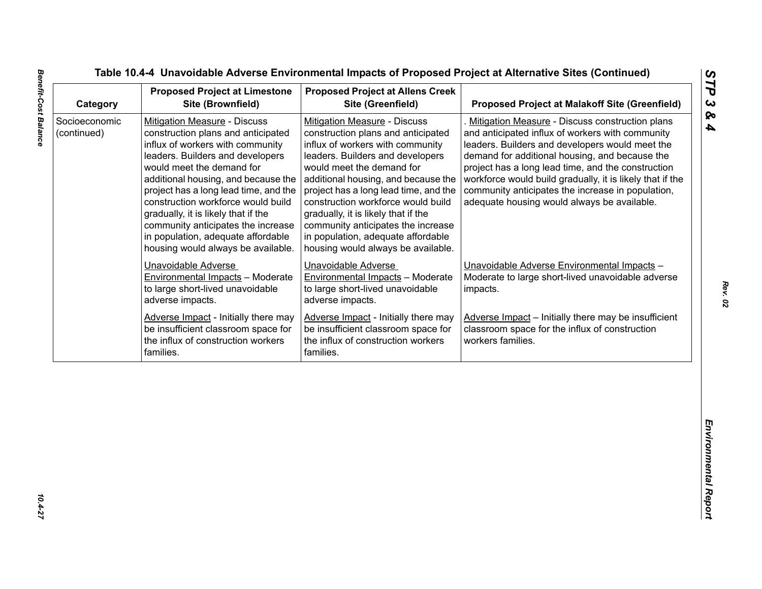| Socioeconomic<br><b>Mitigation Measure - Discuss</b><br><b>Mitigation Measure - Discuss</b><br>Mitigation Measure - Discuss construction plans<br>and anticipated influx of workers with community<br>(continued)<br>construction plans and anticipated<br>construction plans and anticipated<br>influx of workers with community<br>influx of workers with community<br>leaders. Builders and developers would meet the<br>leaders. Builders and developers<br>leaders. Builders and developers<br>demand for additional housing, and because the<br>would meet the demand for<br>would meet the demand for<br>additional housing, and because the<br>additional housing, and because the<br>project has a long lead time, and the<br>project has a long lead time, and the<br>community anticipates the increase in population,<br>construction workforce would build<br>construction workforce would build<br>adequate housing would always be available.<br>gradually, it is likely that if the<br>gradually, it is likely that if the<br>community anticipates the increase<br>community anticipates the increase<br>in population, adequate affordable<br>in population, adequate affordable<br>housing would always be available.<br>housing would always be available.<br>Unavoidable Adverse<br>Unavoidable Adverse<br>Unavoidable Adverse Environmental Impacts -<br>Environmental Impacts - Moderate<br><b>Environmental Impacts - Moderate</b><br>to large short-lived unavoidable<br>to large short-lived unavoidable<br>impacts.<br>adverse impacts.<br>adverse impacts.<br>Adverse Impact - Initially there may<br>Adverse Impact - Initially there may<br>be insufficient classroom space for<br>be insufficient classroom space for<br>classroom space for the influx of construction<br>the influx of construction workers<br>workers families.<br>the influx of construction workers | families. | <b>Proposed Project at Limestone</b><br>Site (Brownfield) | <b>Proposed Project at Allens Creek</b><br>Site (Greenfield) | <b>Proposed Project at Malakoff Site (Greenfield)</b>                                                           |
|---------------------------------------------------------------------------------------------------------------------------------------------------------------------------------------------------------------------------------------------------------------------------------------------------------------------------------------------------------------------------------------------------------------------------------------------------------------------------------------------------------------------------------------------------------------------------------------------------------------------------------------------------------------------------------------------------------------------------------------------------------------------------------------------------------------------------------------------------------------------------------------------------------------------------------------------------------------------------------------------------------------------------------------------------------------------------------------------------------------------------------------------------------------------------------------------------------------------------------------------------------------------------------------------------------------------------------------------------------------------------------------------------------------------------------------------------------------------------------------------------------------------------------------------------------------------------------------------------------------------------------------------------------------------------------------------------------------------------------------------------------------------------------------------------------------------------------------------------------------------------------------------------------|-----------|-----------------------------------------------------------|--------------------------------------------------------------|-----------------------------------------------------------------------------------------------------------------|
|                                                                                                                                                                                                                                                                                                                                                                                                                                                                                                                                                                                                                                                                                                                                                                                                                                                                                                                                                                                                                                                                                                                                                                                                                                                                                                                                                                                                                                                                                                                                                                                                                                                                                                                                                                                                                                                                                                         |           |                                                           |                                                              | project has a long lead time, and the construction<br>workforce would build gradually, it is likely that if the |
|                                                                                                                                                                                                                                                                                                                                                                                                                                                                                                                                                                                                                                                                                                                                                                                                                                                                                                                                                                                                                                                                                                                                                                                                                                                                                                                                                                                                                                                                                                                                                                                                                                                                                                                                                                                                                                                                                                         |           |                                                           |                                                              | Moderate to large short-lived unavoidable adverse                                                               |
| families.                                                                                                                                                                                                                                                                                                                                                                                                                                                                                                                                                                                                                                                                                                                                                                                                                                                                                                                                                                                                                                                                                                                                                                                                                                                                                                                                                                                                                                                                                                                                                                                                                                                                                                                                                                                                                                                                                               |           |                                                           |                                                              | Adverse Impact - Initially there may be insufficient                                                            |
|                                                                                                                                                                                                                                                                                                                                                                                                                                                                                                                                                                                                                                                                                                                                                                                                                                                                                                                                                                                                                                                                                                                                                                                                                                                                                                                                                                                                                                                                                                                                                                                                                                                                                                                                                                                                                                                                                                         |           |                                                           |                                                              |                                                                                                                 |
|                                                                                                                                                                                                                                                                                                                                                                                                                                                                                                                                                                                                                                                                                                                                                                                                                                                                                                                                                                                                                                                                                                                                                                                                                                                                                                                                                                                                                                                                                                                                                                                                                                                                                                                                                                                                                                                                                                         |           |                                                           |                                                              |                                                                                                                 |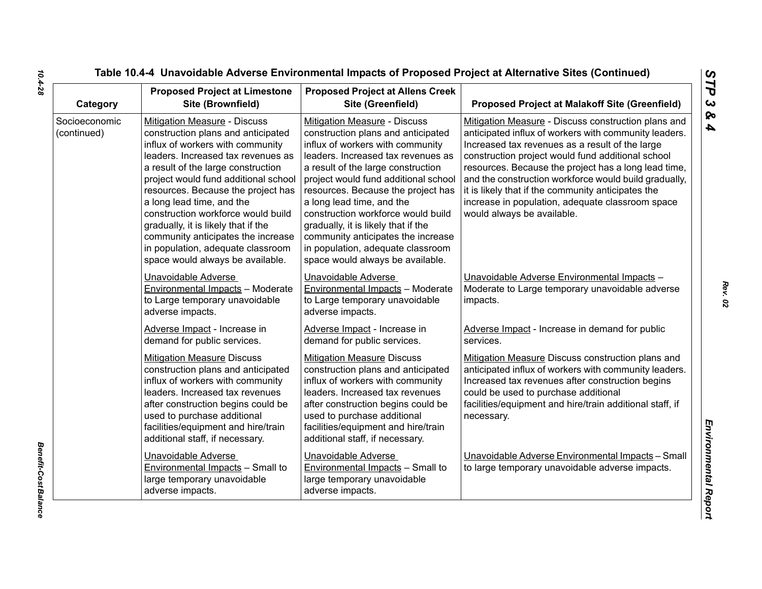| Category                     | <b>Proposed Project at Limestone</b><br>Site (Brownfield)                                                                                                                                                                                                                                                                                                                                                                                                                                 | <b>Proposed Project at Allens Creek</b><br>Site (Greenfield)                                                                                                                                                                                                                                                                                                                                                                                                                              | <b>Proposed Project at Malakoff Site (Greenfield)</b>                                                                                                                                                                                                                                                                                                                                                                                                                         |
|------------------------------|-------------------------------------------------------------------------------------------------------------------------------------------------------------------------------------------------------------------------------------------------------------------------------------------------------------------------------------------------------------------------------------------------------------------------------------------------------------------------------------------|-------------------------------------------------------------------------------------------------------------------------------------------------------------------------------------------------------------------------------------------------------------------------------------------------------------------------------------------------------------------------------------------------------------------------------------------------------------------------------------------|-------------------------------------------------------------------------------------------------------------------------------------------------------------------------------------------------------------------------------------------------------------------------------------------------------------------------------------------------------------------------------------------------------------------------------------------------------------------------------|
| Socioeconomic<br>(continued) | Mitigation Measure - Discuss<br>construction plans and anticipated<br>influx of workers with community<br>leaders. Increased tax revenues as<br>a result of the large construction<br>project would fund additional school<br>resources. Because the project has<br>a long lead time, and the<br>construction workforce would build<br>gradually, it is likely that if the<br>community anticipates the increase<br>in population, adequate classroom<br>space would always be available. | Mitigation Measure - Discuss<br>construction plans and anticipated<br>influx of workers with community<br>leaders. Increased tax revenues as<br>a result of the large construction<br>project would fund additional school<br>resources. Because the project has<br>a long lead time, and the<br>construction workforce would build<br>gradually, it is likely that if the<br>community anticipates the increase<br>in population, adequate classroom<br>space would always be available. | Mitigation Measure - Discuss construction plans and<br>anticipated influx of workers with community leaders.<br>Increased tax revenues as a result of the large<br>construction project would fund additional school<br>resources. Because the project has a long lead time,<br>and the construction workforce would build gradually,<br>it is likely that if the community anticipates the<br>increase in population, adequate classroom space<br>would always be available. |
|                              | Unavoidable Adverse<br>Environmental Impacts - Moderate<br>to Large temporary unavoidable<br>adverse impacts.                                                                                                                                                                                                                                                                                                                                                                             | Unavoidable Adverse<br>Environmental Impacts - Moderate<br>to Large temporary unavoidable<br>adverse impacts.                                                                                                                                                                                                                                                                                                                                                                             | Unavoidable Adverse Environmental Impacts -<br>Moderate to Large temporary unavoidable adverse<br>impacts.                                                                                                                                                                                                                                                                                                                                                                    |
|                              | Adverse Impact - Increase in<br>demand for public services.                                                                                                                                                                                                                                                                                                                                                                                                                               | Adverse Impact - Increase in<br>demand for public services.                                                                                                                                                                                                                                                                                                                                                                                                                               | Adverse Impact - Increase in demand for public<br>services.                                                                                                                                                                                                                                                                                                                                                                                                                   |
|                              | <b>Mitigation Measure Discuss</b><br>construction plans and anticipated<br>influx of workers with community<br>leaders. Increased tax revenues<br>after construction begins could be<br>used to purchase additional<br>facilities/equipment and hire/train<br>additional staff, if necessary.                                                                                                                                                                                             | <b>Mitigation Measure Discuss</b><br>construction plans and anticipated<br>influx of workers with community<br>leaders. Increased tax revenues<br>after construction begins could be<br>used to purchase additional<br>facilities/equipment and hire/train<br>additional staff, if necessary.                                                                                                                                                                                             | Mitigation Measure Discuss construction plans and<br>anticipated influx of workers with community leaders.<br>Increased tax revenues after construction begins<br>could be used to purchase additional<br>facilities/equipment and hire/train additional staff, if<br>necessary.                                                                                                                                                                                              |
|                              | Unavoidable Adverse<br>Environmental Impacts - Small to<br>large temporary unavoidable<br>adverse impacts.                                                                                                                                                                                                                                                                                                                                                                                | Unavoidable Adverse<br>Environmental Impacts - Small to<br>large temporary unavoidable<br>adverse impacts.                                                                                                                                                                                                                                                                                                                                                                                | Unavoidable Adverse Environmental Impacts - Small<br>to large temporary unavoidable adverse impacts.                                                                                                                                                                                                                                                                                                                                                                          |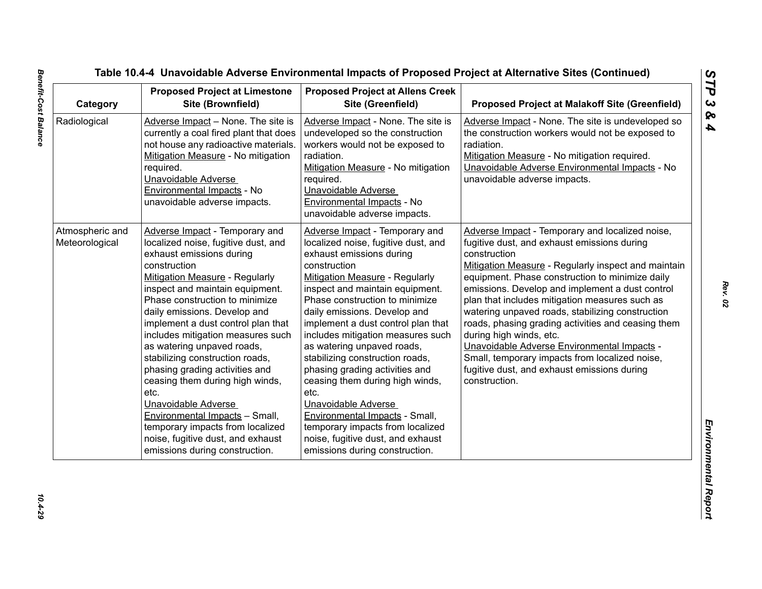| Category                          | <b>Proposed Project at Limestone</b><br>Site (Brownfield)                                                                                                                                                                                                                                                                                                                                                                                                                                                                                                                                                                                                    | <b>Proposed Project at Allens Creek</b><br>Site (Greenfield)                                                                                                                                                                                                                                                                                                                                                                                                                                                                                                                                                                                                 | <b>Proposed Project at Malakoff Site (Greenfield)</b>                                                                                                                                                                                                                                                                                                                                                                                                                                                                                                                                                                               |
|-----------------------------------|--------------------------------------------------------------------------------------------------------------------------------------------------------------------------------------------------------------------------------------------------------------------------------------------------------------------------------------------------------------------------------------------------------------------------------------------------------------------------------------------------------------------------------------------------------------------------------------------------------------------------------------------------------------|--------------------------------------------------------------------------------------------------------------------------------------------------------------------------------------------------------------------------------------------------------------------------------------------------------------------------------------------------------------------------------------------------------------------------------------------------------------------------------------------------------------------------------------------------------------------------------------------------------------------------------------------------------------|-------------------------------------------------------------------------------------------------------------------------------------------------------------------------------------------------------------------------------------------------------------------------------------------------------------------------------------------------------------------------------------------------------------------------------------------------------------------------------------------------------------------------------------------------------------------------------------------------------------------------------------|
| Radiological                      | Adverse Impact - None. The site is<br>currently a coal fired plant that does<br>not house any radioactive materials.<br>Mitigation Measure - No mitigation<br>required.<br>Unavoidable Adverse<br>Environmental Impacts - No<br>unavoidable adverse impacts.                                                                                                                                                                                                                                                                                                                                                                                                 | Adverse Impact - None. The site is<br>undeveloped so the construction<br>workers would not be exposed to<br>radiation.<br>Mitigation Measure - No mitigation<br>required.<br>Unavoidable Adverse<br>Environmental Impacts - No<br>unavoidable adverse impacts.                                                                                                                                                                                                                                                                                                                                                                                               | Adverse Impact - None. The site is undeveloped so<br>the construction workers would not be exposed to<br>radiation.<br>Mitigation Measure - No mitigation required.<br>Unavoidable Adverse Environmental Impacts - No<br>unavoidable adverse impacts.                                                                                                                                                                                                                                                                                                                                                                               |
| Atmospheric and<br>Meteorological | Adverse Impact - Temporary and<br>localized noise, fugitive dust, and<br>exhaust emissions during<br>construction<br><b>Mitigation Measure - Regularly</b><br>inspect and maintain equipment.<br>Phase construction to minimize<br>daily emissions. Develop and<br>implement a dust control plan that<br>includes mitigation measures such<br>as watering unpaved roads,<br>stabilizing construction roads,<br>phasing grading activities and<br>ceasing them during high winds,<br>etc.<br>Unavoidable Adverse<br>Environmental Impacts - Small,<br>temporary impacts from localized<br>noise, fugitive dust, and exhaust<br>emissions during construction. | Adverse Impact - Temporary and<br>localized noise, fugitive dust, and<br>exhaust emissions during<br>construction<br><b>Mitigation Measure - Regularly</b><br>inspect and maintain equipment.<br>Phase construction to minimize<br>daily emissions. Develop and<br>implement a dust control plan that<br>includes mitigation measures such<br>as watering unpaved roads,<br>stabilizing construction roads,<br>phasing grading activities and<br>ceasing them during high winds,<br>etc.<br>Unavoidable Adverse<br>Environmental Impacts - Small,<br>temporary impacts from localized<br>noise, fugitive dust, and exhaust<br>emissions during construction. | Adverse Impact - Temporary and localized noise,<br>fugitive dust, and exhaust emissions during<br>construction<br>Mitigation Measure - Regularly inspect and maintain<br>equipment. Phase construction to minimize daily<br>emissions. Develop and implement a dust control<br>plan that includes mitigation measures such as<br>watering unpaved roads, stabilizing construction<br>roads, phasing grading activities and ceasing them<br>during high winds, etc.<br>Unavoidable Adverse Environmental Impacts -<br>Small, temporary impacts from localized noise,<br>fugitive dust, and exhaust emissions during<br>construction. |

10.4-29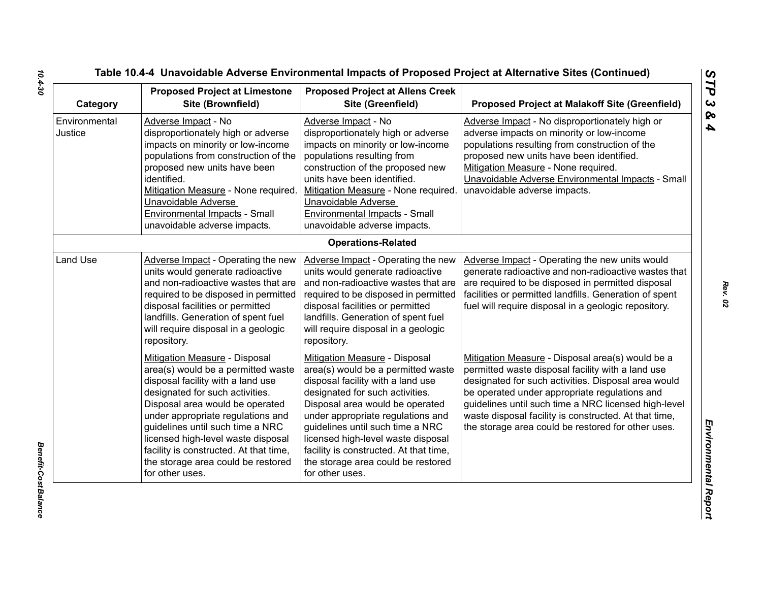| Category                 | <b>Proposed Project at Limestone</b><br>Site (Brownfield)                                                                                                                                                                                                                                                                                                                                        | <b>Proposed Project at Allens Creek</b><br>Site (Greenfield)                                                                                                                                                                                                                                                                                                                                     | <b>Proposed Project at Malakoff Site (Greenfield)</b>                                                                                                                                                                                                                                                                                                                                |
|--------------------------|--------------------------------------------------------------------------------------------------------------------------------------------------------------------------------------------------------------------------------------------------------------------------------------------------------------------------------------------------------------------------------------------------|--------------------------------------------------------------------------------------------------------------------------------------------------------------------------------------------------------------------------------------------------------------------------------------------------------------------------------------------------------------------------------------------------|--------------------------------------------------------------------------------------------------------------------------------------------------------------------------------------------------------------------------------------------------------------------------------------------------------------------------------------------------------------------------------------|
| Environmental<br>Justice | Adverse Impact - No<br>disproportionately high or adverse<br>impacts on minority or low-income<br>populations from construction of the<br>proposed new units have been<br>identified.<br>Mitigation Measure - None required.<br>Unavoidable Adverse<br>Environmental Impacts - Small<br>unavoidable adverse impacts.                                                                             | Adverse Impact - No<br>disproportionately high or adverse<br>impacts on minority or low-income<br>populations resulting from<br>construction of the proposed new<br>units have been identified.<br>Mitigation Measure - None required.<br>Unavoidable Adverse<br><b>Environmental Impacts - Small</b><br>unavoidable adverse impacts.                                                            | Adverse Impact - No disproportionately high or<br>adverse impacts on minority or low-income<br>populations resulting from construction of the<br>proposed new units have been identified.<br>Mitigation Measure - None required.<br>Unavoidable Adverse Environmental Impacts - Small<br>unavoidable adverse impacts.                                                                |
|                          |                                                                                                                                                                                                                                                                                                                                                                                                  | <b>Operations-Related</b>                                                                                                                                                                                                                                                                                                                                                                        |                                                                                                                                                                                                                                                                                                                                                                                      |
| Land Use                 | Adverse Impact - Operating the new<br>units would generate radioactive<br>and non-radioactive wastes that are<br>required to be disposed in permitted<br>disposal facilities or permitted<br>landfills. Generation of spent fuel<br>will require disposal in a geologic<br>repository.                                                                                                           | Adverse Impact - Operating the new<br>units would generate radioactive<br>and non-radioactive wastes that are<br>required to be disposed in permitted<br>disposal facilities or permitted<br>landfills. Generation of spent fuel<br>will require disposal in a geologic<br>repository.                                                                                                           | Adverse Impact - Operating the new units would<br>generate radioactive and non-radioactive wastes that<br>are required to be disposed in permitted disposal<br>facilities or permitted landfills. Generation of spent<br>fuel will require disposal in a geologic repository.                                                                                                        |
|                          | Mitigation Measure - Disposal<br>area(s) would be a permitted waste<br>disposal facility with a land use<br>designated for such activities.<br>Disposal area would be operated<br>under appropriate regulations and<br>guidelines until such time a NRC<br>licensed high-level waste disposal<br>facility is constructed. At that time,<br>the storage area could be restored<br>for other uses. | Mitigation Measure - Disposal<br>area(s) would be a permitted waste<br>disposal facility with a land use<br>designated for such activities.<br>Disposal area would be operated<br>under appropriate regulations and<br>guidelines until such time a NRC<br>licensed high-level waste disposal<br>facility is constructed. At that time,<br>the storage area could be restored<br>for other uses. | Mitigation Measure - Disposal area(s) would be a<br>permitted waste disposal facility with a land use<br>designated for such activities. Disposal area would<br>be operated under appropriate regulations and<br>guidelines until such time a NRC licensed high-level<br>waste disposal facility is constructed. At that time,<br>the storage area could be restored for other uses. |

*Benefit-Cost Balance* 

Benefit-Cost Balance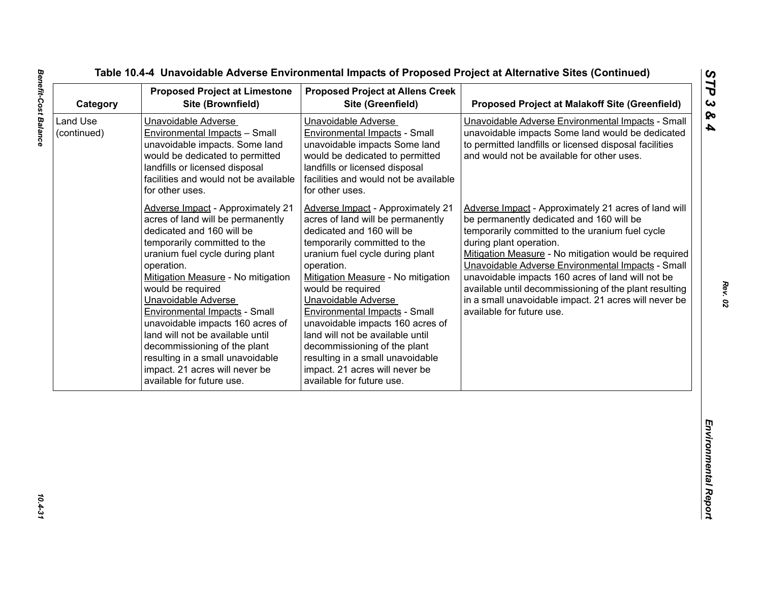| Category                | <b>Proposed Project at Limestone</b><br>Site (Brownfield)                                                                                                                                                                                                                                                                                                                                                                                                                                                                        | <b>Proposed Project at Allens Creek</b><br>Site (Greenfield)                                                                                                                                                                                                                                                                                                                                                                                                                                                                     | <b>Proposed Project at Malakoff Site (Greenfield)</b>                                                                                                                                                                                                                                                                                                                                                                                                                                            |
|-------------------------|----------------------------------------------------------------------------------------------------------------------------------------------------------------------------------------------------------------------------------------------------------------------------------------------------------------------------------------------------------------------------------------------------------------------------------------------------------------------------------------------------------------------------------|----------------------------------------------------------------------------------------------------------------------------------------------------------------------------------------------------------------------------------------------------------------------------------------------------------------------------------------------------------------------------------------------------------------------------------------------------------------------------------------------------------------------------------|--------------------------------------------------------------------------------------------------------------------------------------------------------------------------------------------------------------------------------------------------------------------------------------------------------------------------------------------------------------------------------------------------------------------------------------------------------------------------------------------------|
| Land Use<br>(continued) | Unavoidable Adverse<br>Environmental Impacts - Small<br>unavoidable impacts. Some land<br>would be dedicated to permitted<br>landfills or licensed disposal<br>facilities and would not be available<br>for other uses.                                                                                                                                                                                                                                                                                                          | Unavoidable Adverse<br>Environmental Impacts - Small<br>unavoidable impacts Some land<br>would be dedicated to permitted<br>landfills or licensed disposal<br>facilities and would not be available<br>for other uses.                                                                                                                                                                                                                                                                                                           | Unavoidable Adverse Environmental Impacts - Small<br>unavoidable impacts Some land would be dedicated<br>to permitted landfills or licensed disposal facilities<br>and would not be available for other uses.                                                                                                                                                                                                                                                                                    |
|                         | <b>Adverse Impact - Approximately 21</b><br>acres of land will be permanently<br>dedicated and 160 will be<br>temporarily committed to the<br>uranium fuel cycle during plant<br>operation.<br>Mitigation Measure - No mitigation<br>would be required<br>Unavoidable Adverse<br><b>Environmental Impacts - Small</b><br>unavoidable impacts 160 acres of<br>land will not be available until<br>decommissioning of the plant<br>resulting in a small unavoidable<br>impact. 21 acres will never be<br>available for future use. | <b>Adverse Impact - Approximately 21</b><br>acres of land will be permanently<br>dedicated and 160 will be<br>temporarily committed to the<br>uranium fuel cycle during plant<br>operation.<br>Mitigation Measure - No mitigation<br>would be required<br>Unavoidable Adverse<br><b>Environmental Impacts - Small</b><br>unavoidable impacts 160 acres of<br>land will not be available until<br>decommissioning of the plant<br>resulting in a small unavoidable<br>impact. 21 acres will never be<br>available for future use. | Adverse Impact - Approximately 21 acres of land will<br>be permanently dedicated and 160 will be<br>temporarily committed to the uranium fuel cycle<br>during plant operation.<br>Mitigation Measure - No mitigation would be required<br>Unavoidable Adverse Environmental Impacts - Small<br>unavoidable impacts 160 acres of land will not be<br>available until decommissioning of the plant resulting<br>in a small unavoidable impact. 21 acres will never be<br>available for future use. |
|                         |                                                                                                                                                                                                                                                                                                                                                                                                                                                                                                                                  |                                                                                                                                                                                                                                                                                                                                                                                                                                                                                                                                  |                                                                                                                                                                                                                                                                                                                                                                                                                                                                                                  |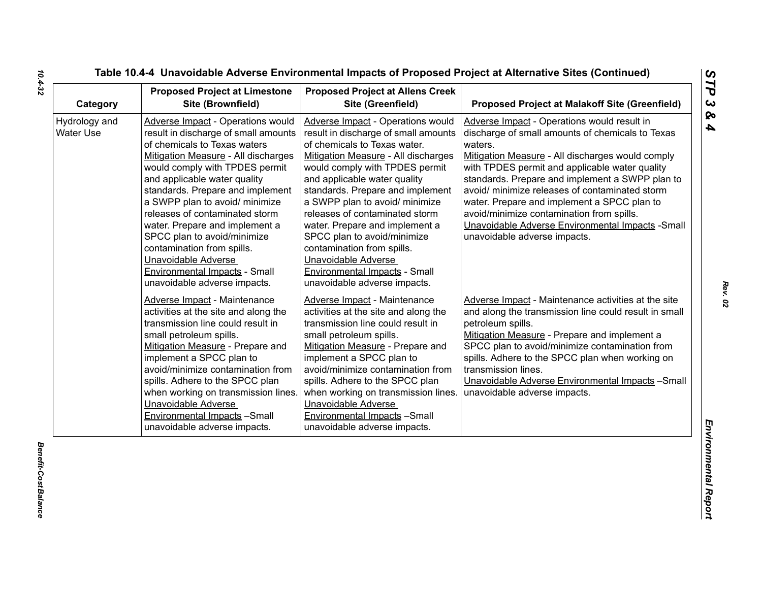| Category                          | <b>Proposed Project at Limestone</b><br>Site (Brownfield)                                                                                                                                                                                                                                                                                                                                                                                                                                                                | <b>Proposed Project at Allens Creek</b><br>Site (Greenfield)                                                                                                                                                                                                                                                                                                                                                                                                                                                             | <b>Proposed Project at Malakoff Site (Greenfield)</b>                                                                                                                                                                                                                                                                                                                                                                                                                                                  |
|-----------------------------------|--------------------------------------------------------------------------------------------------------------------------------------------------------------------------------------------------------------------------------------------------------------------------------------------------------------------------------------------------------------------------------------------------------------------------------------------------------------------------------------------------------------------------|--------------------------------------------------------------------------------------------------------------------------------------------------------------------------------------------------------------------------------------------------------------------------------------------------------------------------------------------------------------------------------------------------------------------------------------------------------------------------------------------------------------------------|--------------------------------------------------------------------------------------------------------------------------------------------------------------------------------------------------------------------------------------------------------------------------------------------------------------------------------------------------------------------------------------------------------------------------------------------------------------------------------------------------------|
| Hydrology and<br><b>Water Use</b> | <b>Adverse Impact - Operations would</b><br>result in discharge of small amounts<br>of chemicals to Texas waters<br>Mitigation Measure - All discharges<br>would comply with TPDES permit<br>and applicable water quality<br>standards. Prepare and implement<br>a SWPP plan to avoid/ minimize<br>releases of contaminated storm<br>water. Prepare and implement a<br>SPCC plan to avoid/minimize<br>contamination from spills.<br>Unavoidable Adverse<br>Environmental Impacts - Small<br>unavoidable adverse impacts. | <b>Adverse Impact - Operations would</b><br>result in discharge of small amounts<br>of chemicals to Texas water.<br>Mitigation Measure - All discharges<br>would comply with TPDES permit<br>and applicable water quality<br>standards. Prepare and implement<br>a SWPP plan to avoid/ minimize<br>releases of contaminated storm<br>water. Prepare and implement a<br>SPCC plan to avoid/minimize<br>contamination from spills.<br>Unavoidable Adverse<br>Environmental Impacts - Small<br>unavoidable adverse impacts. | Adverse Impact - Operations would result in<br>discharge of small amounts of chemicals to Texas<br>waters.<br>Mitigation Measure - All discharges would comply<br>with TPDES permit and applicable water quality<br>standards. Prepare and implement a SWPP plan to<br>avoid/ minimize releases of contaminated storm<br>water. Prepare and implement a SPCC plan to<br>avoid/minimize contamination from spills.<br>Unavoidable Adverse Environmental Impacts - Small<br>unavoidable adverse impacts. |
|                                   | Adverse Impact - Maintenance<br>activities at the site and along the<br>transmission line could result in<br>small petroleum spills.<br>Mitigation Measure - Prepare and<br>implement a SPCC plan to<br>avoid/minimize contamination from<br>spills. Adhere to the SPCC plan<br>when working on transmission lines.<br>Unavoidable Adverse<br>Environmental Impacts -Small<br>unavoidable adverse impacts.                                                                                                               | <b>Adverse Impact - Maintenance</b><br>activities at the site and along the<br>transmission line could result in<br>small petroleum spills.<br>Mitigation Measure - Prepare and<br>implement a SPCC plan to<br>avoid/minimize contamination from<br>spills. Adhere to the SPCC plan<br>when working on transmission lines.<br>Unavoidable Adverse<br>Environmental Impacts -Small<br>unavoidable adverse impacts.                                                                                                        | Adverse Impact - Maintenance activities at the site<br>and along the transmission line could result in small<br>petroleum spills.<br>Mitigation Measure - Prepare and implement a<br>SPCC plan to avoid/minimize contamination from<br>spills. Adhere to the SPCC plan when working on<br>transmission lines.<br>Unavoidable Adverse Environmental Impacts - Small<br>unavoidable adverse impacts.                                                                                                     |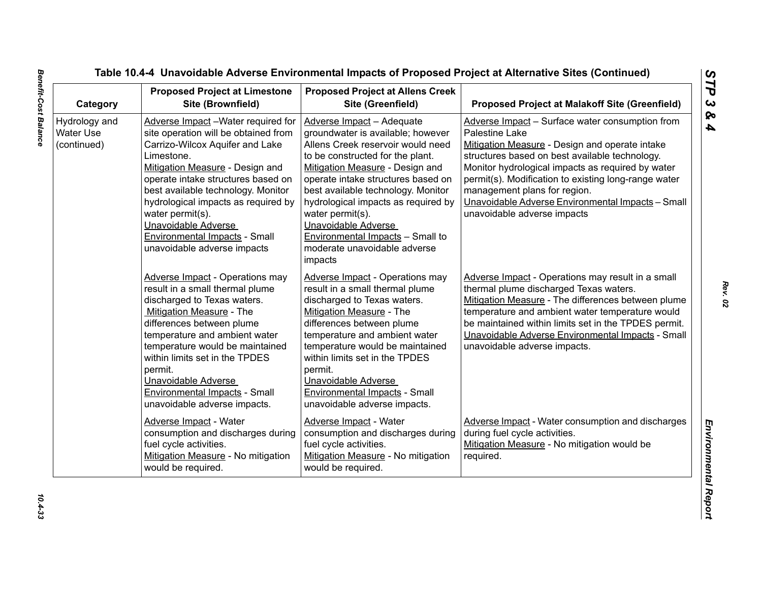| Category                                  | <b>Proposed Project at Limestone</b><br>Site (Brownfield)                                                                                                                                                                                                                                                                                                                                            | <b>Proposed Project at Allens Creek</b><br>Site (Greenfield)                                                                                                                                                                                                                                                                                                                                                                   | <b>Proposed Project at Malakoff Site (Greenfield)</b>                                                                                                                                                                                                                                                                                                                                                  |
|-------------------------------------------|------------------------------------------------------------------------------------------------------------------------------------------------------------------------------------------------------------------------------------------------------------------------------------------------------------------------------------------------------------------------------------------------------|--------------------------------------------------------------------------------------------------------------------------------------------------------------------------------------------------------------------------------------------------------------------------------------------------------------------------------------------------------------------------------------------------------------------------------|--------------------------------------------------------------------------------------------------------------------------------------------------------------------------------------------------------------------------------------------------------------------------------------------------------------------------------------------------------------------------------------------------------|
| Hydrology and<br>Water Use<br>(continued) | Adverse Impact - Water required for<br>site operation will be obtained from<br>Carrizo-Wilcox Aquifer and Lake<br>Limestone.<br>Mitigation Measure - Design and<br>operate intake structures based on<br>best available technology. Monitor<br>hydrological impacts as required by<br>water permit(s).<br>Unavoidable Adverse<br><b>Environmental Impacts - Small</b><br>unavoidable adverse impacts | Adverse Impact - Adequate<br>groundwater is available; however<br>Allens Creek reservoir would need<br>to be constructed for the plant.<br>Mitigation Measure - Design and<br>operate intake structures based on<br>best available technology. Monitor<br>hydrological impacts as required by<br>water permit(s).<br>Unavoidable Adverse<br><b>Environmental Impacts - Small to</b><br>moderate unavoidable adverse<br>impacts | Adverse Impact - Surface water consumption from<br>Palestine Lake<br>Mitigation Measure - Design and operate intake<br>structures based on best available technology.<br>Monitor hydrological impacts as required by water<br>permit(s). Modification to existing long-range water<br>management plans for region.<br>Unavoidable Adverse Environmental Impacts - Small<br>unavoidable adverse impacts |
|                                           | <b>Adverse Impact</b> - Operations may<br>result in a small thermal plume<br>discharged to Texas waters.<br>Mitigation Measure - The<br>differences between plume<br>temperature and ambient water<br>temperature would be maintained<br>within limits set in the TPDES<br>permit.<br>Unavoidable Adverse<br><b>Environmental Impacts - Small</b><br>unavoidable adverse impacts.                    | <b>Adverse Impact - Operations may</b><br>result in a small thermal plume<br>discharged to Texas waters.<br>Mitigation Measure - The<br>differences between plume<br>temperature and ambient water<br>temperature would be maintained<br>within limits set in the TPDES<br>permit.<br>Unavoidable Adverse<br><b>Environmental Impacts - Small</b><br>unavoidable adverse impacts.                                              | Adverse Impact - Operations may result in a small<br>thermal plume discharged Texas waters.<br>Mitigation Measure - The differences between plume<br>temperature and ambient water temperature would<br>be maintained within limits set in the TPDES permit.<br>Unavoidable Adverse Environmental Impacts - Small<br>unavoidable adverse impacts.                                                      |
|                                           | Adverse Impact - Water<br>consumption and discharges during<br>fuel cycle activities.<br>Mitigation Measure - No mitigation<br>would be required.                                                                                                                                                                                                                                                    | Adverse Impact - Water<br>consumption and discharges during<br>fuel cycle activities.<br>Mitigation Measure - No mitigation<br>would be required.                                                                                                                                                                                                                                                                              | Adverse Impact - Water consumption and discharges<br>during fuel cycle activities.<br>Mitigation Measure - No mitigation would be<br>required.                                                                                                                                                                                                                                                         |

 $10.4 - 33$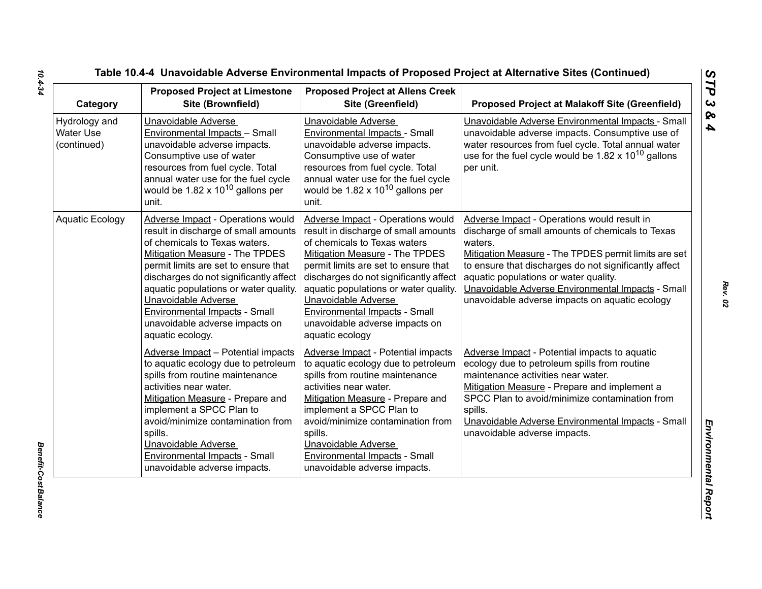| Category                                         | <b>Proposed Project at Limestone</b><br>Site (Brownfield)                                                                                                                                                                                                                                                                                                                                           | <b>Proposed Project at Allens Creek</b><br>Site (Greenfield)                                                                                                                                                                                                                                                                                                                               | <b>Proposed Project at Malakoff Site (Greenfield)</b>                                                                                                                                                                                                                                                                                                                       |
|--------------------------------------------------|-----------------------------------------------------------------------------------------------------------------------------------------------------------------------------------------------------------------------------------------------------------------------------------------------------------------------------------------------------------------------------------------------------|--------------------------------------------------------------------------------------------------------------------------------------------------------------------------------------------------------------------------------------------------------------------------------------------------------------------------------------------------------------------------------------------|-----------------------------------------------------------------------------------------------------------------------------------------------------------------------------------------------------------------------------------------------------------------------------------------------------------------------------------------------------------------------------|
| Hydrology and<br><b>Water Use</b><br>(continued) | Unavoidable Adverse<br>Environmental Impacts - Small<br>unavoidable adverse impacts.<br>Consumptive use of water<br>resources from fuel cycle. Total<br>annual water use for the fuel cycle<br>would be $1.82 \times 10^{10}$ gallons per<br>unit.                                                                                                                                                  | Unavoidable Adverse<br>Environmental Impacts - Small<br>unavoidable adverse impacts.<br>Consumptive use of water<br>resources from fuel cycle. Total<br>annual water use for the fuel cycle<br>would be $1.82 \times 10^{10}$ gallons per<br>unit.                                                                                                                                         | Unavoidable Adverse Environmental Impacts - Small<br>unavoidable adverse impacts. Consumptive use of<br>water resources from fuel cycle. Total annual water<br>use for the fuel cycle would be $1.82 \times 10^{10}$ gallons<br>per unit.                                                                                                                                   |
| <b>Aquatic Ecology</b>                           | Adverse Impact - Operations would<br>result in discharge of small amounts<br>of chemicals to Texas waters.<br><b>Mitigation Measure - The TPDES</b><br>permit limits are set to ensure that<br>discharges do not significantly affect<br>aquatic populations or water quality.<br>Unavoidable Adverse<br><b>Environmental Impacts - Small</b><br>unavoidable adverse impacts on<br>aquatic ecology. | Adverse Impact - Operations would<br>result in discharge of small amounts<br>of chemicals to Texas waters<br><b>Mitigation Measure - The TPDES</b><br>permit limits are set to ensure that<br>discharges do not significantly affect<br>aquatic populations or water quality.<br>Unavoidable Adverse<br>Environmental Impacts - Small<br>unavoidable adverse impacts on<br>aquatic ecology | Adverse Impact - Operations would result in<br>discharge of small amounts of chemicals to Texas<br>waters.<br>Mitigation Measure - The TPDES permit limits are set<br>to ensure that discharges do not significantly affect<br>aquatic populations or water quality.<br>Unavoidable Adverse Environmental Impacts - Small<br>unavoidable adverse impacts on aquatic ecology |
|                                                  | Adverse Impact - Potential impacts<br>to aquatic ecology due to petroleum<br>spills from routine maintenance<br>activities near water.<br>Mitigation Measure - Prepare and<br>implement a SPCC Plan to<br>avoid/minimize contamination from<br>spills.<br>Unavoidable Adverse<br>Environmental Impacts - Small<br>unavoidable adverse impacts.                                                      | Adverse Impact - Potential impacts<br>to aquatic ecology due to petroleum<br>spills from routine maintenance<br>activities near water.<br>Mitigation Measure - Prepare and<br>implement a SPCC Plan to<br>avoid/minimize contamination from<br>spills.<br>Unavoidable Adverse<br>Environmental Impacts - Small<br>unavoidable adverse impacts.                                             | Adverse Impact - Potential impacts to aquatic<br>ecology due to petroleum spills from routine<br>maintenance activities near water.<br>Mitigation Measure - Prepare and implement a<br>SPCC Plan to avoid/minimize contamination from<br>spills.<br>Unavoidable Adverse Environmental Impacts - Small<br>unavoidable adverse impacts.                                       |

*Benefit-Cost Balance* 

Benefit-Cost Balance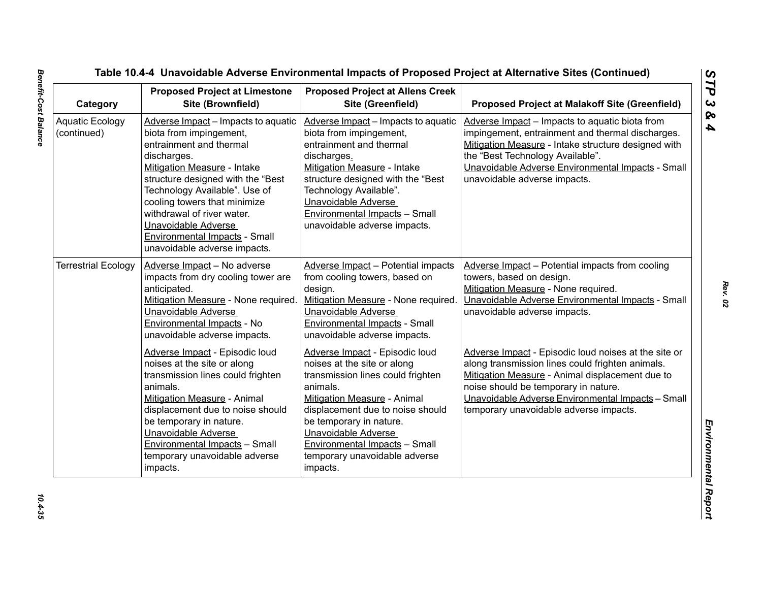| Category                              | <b>Proposed Project at Limestone</b><br>Site (Brownfield)                                                                                                                                                                                                                                                                                                                  | <b>Proposed Project at Allens Creek</b><br>Site (Greenfield)                                                                                                                                                                                                                                                             | <b>Proposed Project at Malakoff Site (Greenfield)</b>                                                                                                                                                                                                                                              |
|---------------------------------------|----------------------------------------------------------------------------------------------------------------------------------------------------------------------------------------------------------------------------------------------------------------------------------------------------------------------------------------------------------------------------|--------------------------------------------------------------------------------------------------------------------------------------------------------------------------------------------------------------------------------------------------------------------------------------------------------------------------|----------------------------------------------------------------------------------------------------------------------------------------------------------------------------------------------------------------------------------------------------------------------------------------------------|
| <b>Aquatic Ecology</b><br>(continued) | Adverse Impact - Impacts to aquatic<br>biota from impingement,<br>entrainment and thermal<br>discharges.<br>Mitigation Measure - Intake<br>structure designed with the "Best<br>Technology Available". Use of<br>cooling towers that minimize<br>withdrawal of river water.<br>Unavoidable Adverse<br><b>Environmental Impacts - Small</b><br>unavoidable adverse impacts. | Adverse Impact - Impacts to aquatic<br>biota from impingement,<br>entrainment and thermal<br>discharges.<br>Mitigation Measure - Intake<br>structure designed with the "Best<br>Technology Available".<br>Unavoidable Adverse<br><b>Environmental Impacts - Small</b><br>unavoidable adverse impacts.                    | Adverse Impact - Impacts to aquatic biota from<br>impingement, entrainment and thermal discharges.<br>Mitigation Measure - Intake structure designed with<br>the "Best Technology Available".<br>Unavoidable Adverse Environmental Impacts - Small<br>unavoidable adverse impacts.                 |
| <b>Terrestrial Ecology</b>            | Adverse Impact - No adverse<br>impacts from dry cooling tower are<br>anticipated.<br>Mitigation Measure - None required.<br>Unavoidable Adverse<br>Environmental Impacts - No<br>unavoidable adverse impacts.                                                                                                                                                              | Adverse Impact - Potential impacts<br>from cooling towers, based on<br>design.<br>Mitigation Measure - None required.<br>Unavoidable Adverse<br><b>Environmental Impacts - Small</b><br>unavoidable adverse impacts.                                                                                                     | Adverse Impact - Potential impacts from cooling<br>towers, based on design.<br>Mitigation Measure - None required.<br>Unavoidable Adverse Environmental Impacts - Small<br>unavoidable adverse impacts.                                                                                            |
|                                       | Adverse Impact - Episodic loud<br>noises at the site or along<br>transmission lines could frighten<br>animals.<br>Mitigation Measure - Animal<br>displacement due to noise should<br>be temporary in nature.<br>Unavoidable Adverse<br><b>Environmental Impacts - Small</b><br>temporary unavoidable adverse<br>impacts.                                                   | Adverse Impact - Episodic loud<br>noises at the site or along<br>transmission lines could frighten<br>animals.<br>Mitigation Measure - Animal<br>displacement due to noise should<br>be temporary in nature.<br>Unavoidable Adverse<br><b>Environmental Impacts - Small</b><br>temporary unavoidable adverse<br>impacts. | Adverse Impact - Episodic loud noises at the site or<br>along transmission lines could frighten animals.<br>Mitigation Measure - Animal displacement due to<br>noise should be temporary in nature.<br>Unavoidable Adverse Environmental Impacts - Small<br>temporary unavoidable adverse impacts. |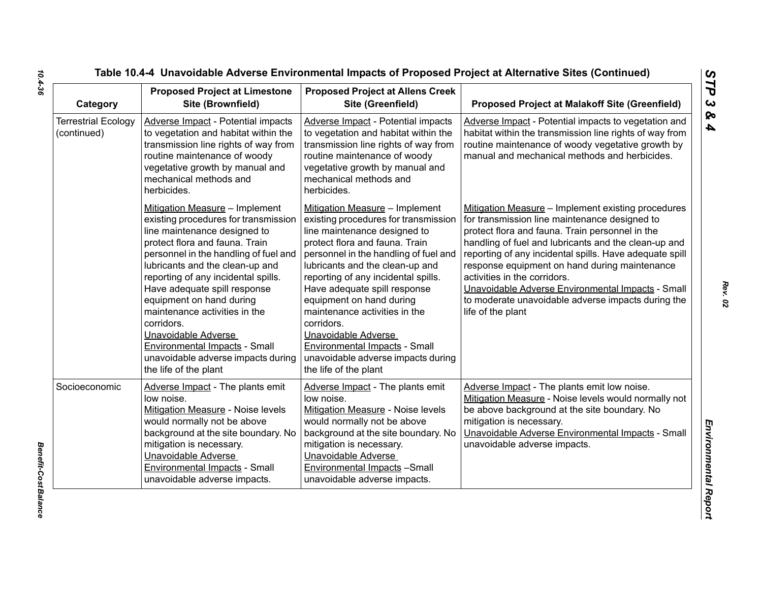| Category                                  | <b>Proposed Project at Limestone</b><br>Site (Brownfield)                                                                                                                                                                                                                                                                                                                                                                                                                                            | <b>Proposed Project at Allens Creek</b><br>Site (Greenfield)                                                                                                                                                                                                                                                                                                                                                                                                                                         | <b>Proposed Project at Malakoff Site (Greenfield)</b>                                                                                                                                                                                                                                                                                                                                                                                                                                      |
|-------------------------------------------|------------------------------------------------------------------------------------------------------------------------------------------------------------------------------------------------------------------------------------------------------------------------------------------------------------------------------------------------------------------------------------------------------------------------------------------------------------------------------------------------------|------------------------------------------------------------------------------------------------------------------------------------------------------------------------------------------------------------------------------------------------------------------------------------------------------------------------------------------------------------------------------------------------------------------------------------------------------------------------------------------------------|--------------------------------------------------------------------------------------------------------------------------------------------------------------------------------------------------------------------------------------------------------------------------------------------------------------------------------------------------------------------------------------------------------------------------------------------------------------------------------------------|
| <b>Terrestrial Ecology</b><br>(continued) | Adverse Impact - Potential impacts<br>to vegetation and habitat within the<br>transmission line rights of way from<br>routine maintenance of woody<br>vegetative growth by manual and<br>mechanical methods and<br>herbicides.                                                                                                                                                                                                                                                                       | <b>Adverse Impact - Potential impacts</b><br>to vegetation and habitat within the<br>transmission line rights of way from<br>routine maintenance of woody<br>vegetative growth by manual and<br>mechanical methods and<br>herbicides.                                                                                                                                                                                                                                                                | Adverse Impact - Potential impacts to vegetation and<br>habitat within the transmission line rights of way from<br>routine maintenance of woody vegetative growth by<br>manual and mechanical methods and herbicides.                                                                                                                                                                                                                                                                      |
|                                           | Mitigation Measure - Implement<br>existing procedures for transmission<br>line maintenance designed to<br>protect flora and fauna. Train<br>personnel in the handling of fuel and<br>lubricants and the clean-up and<br>reporting of any incidental spills.<br>Have adequate spill response<br>equipment on hand during<br>maintenance activities in the<br>corridors.<br>Unavoidable Adverse<br><b>Environmental Impacts - Small</b><br>unavoidable adverse impacts during<br>the life of the plant | Mitigation Measure - Implement<br>existing procedures for transmission<br>line maintenance designed to<br>protect flora and fauna. Train<br>personnel in the handling of fuel and<br>lubricants and the clean-up and<br>reporting of any incidental spills.<br>Have adequate spill response<br>equipment on hand during<br>maintenance activities in the<br>corridors.<br>Unavoidable Adverse<br><b>Environmental Impacts - Small</b><br>unavoidable adverse impacts during<br>the life of the plant | Mitigation Measure - Implement existing procedures<br>for transmission line maintenance designed to<br>protect flora and fauna. Train personnel in the<br>handling of fuel and lubricants and the clean-up and<br>reporting of any incidental spills. Have adequate spill<br>response equipment on hand during maintenance<br>activities in the corridors.<br>Unavoidable Adverse Environmental Impacts - Small<br>to moderate unavoidable adverse impacts during the<br>life of the plant |
| Socioeconomic                             | Adverse Impact - The plants emit<br>low noise.<br><b>Mitigation Measure - Noise levels</b><br>would normally not be above<br>background at the site boundary. No<br>mitigation is necessary.<br>Unavoidable Adverse<br>Environmental Impacts - Small<br>unavoidable adverse impacts.                                                                                                                                                                                                                 | Adverse Impact - The plants emit<br>low noise.<br><b>Mitigation Measure - Noise levels</b><br>would normally not be above<br>background at the site boundary. No<br>mitigation is necessary.<br><b>Unavoidable Adverse</b><br>Environmental Impacts -Small<br>unavoidable adverse impacts.                                                                                                                                                                                                           | Adverse Impact - The plants emit low noise.<br>Mitigation Measure - Noise levels would normally not<br>be above background at the site boundary. No<br>mitigation is necessary.<br>Unavoidable Adverse Environmental Impacts - Small<br>unavoidable adverse impacts.                                                                                                                                                                                                                       |

*Rev. 02*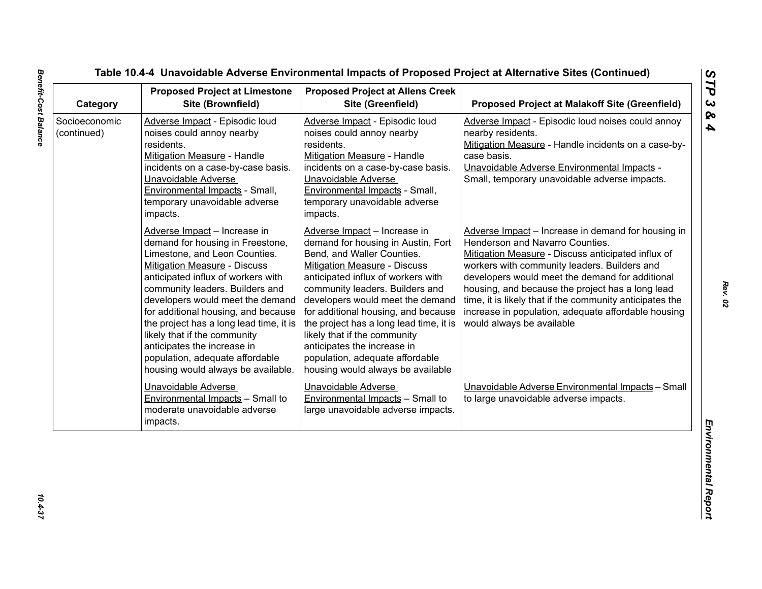| Category                     | <b>Proposed Project at Limestone</b><br>Site (Brownfield)                                                                                                                                                                                                                                                                                                                                                                                                                       | <b>Proposed Project at Allens Creek</b><br>Site (Greenfield)                                                                                                                                                                                                                                                                                                                                                                                                                  | <b>Proposed Project at Malakoff Site (Greenfield)</b>                                                                                                                                                                                                                                                                                                                                                                                              |
|------------------------------|---------------------------------------------------------------------------------------------------------------------------------------------------------------------------------------------------------------------------------------------------------------------------------------------------------------------------------------------------------------------------------------------------------------------------------------------------------------------------------|-------------------------------------------------------------------------------------------------------------------------------------------------------------------------------------------------------------------------------------------------------------------------------------------------------------------------------------------------------------------------------------------------------------------------------------------------------------------------------|----------------------------------------------------------------------------------------------------------------------------------------------------------------------------------------------------------------------------------------------------------------------------------------------------------------------------------------------------------------------------------------------------------------------------------------------------|
| Socioeconomic<br>(continued) | Adverse Impact - Episodic loud<br>noises could annoy nearby<br>residents.<br><b>Mitigation Measure - Handle</b><br>incidents on a case-by-case basis.<br>Unavoidable Adverse<br>Environmental Impacts - Small,<br>temporary unavoidable adverse<br>impacts.                                                                                                                                                                                                                     | Adverse Impact - Episodic loud<br>noises could annoy nearby<br>residents.<br><b>Mitigation Measure - Handle</b><br>incidents on a case-by-case basis.<br>Unavoidable Adverse<br>Environmental Impacts - Small,<br>temporary unavoidable adverse<br>impacts.                                                                                                                                                                                                                   | Adverse Impact - Episodic loud noises could annoy<br>nearby residents.<br>Mitigation Measure - Handle incidents on a case-by-<br>case basis.<br>Unavoidable Adverse Environmental Impacts -<br>Small, temporary unavoidable adverse impacts.                                                                                                                                                                                                       |
|                              | Adverse Impact - Increase in<br>demand for housing in Freestone,<br>Limestone, and Leon Counties.<br><b>Mitigation Measure - Discuss</b><br>anticipated influx of workers with<br>community leaders. Builders and<br>developers would meet the demand<br>for additional housing, and because<br>the project has a long lead time, it is<br>likely that if the community<br>anticipates the increase in<br>population, adequate affordable<br>housing would always be available. | Adverse Impact - Increase in<br>demand for housing in Austin, Fort<br>Bend, and Waller Counties.<br><b>Mitigation Measure - Discuss</b><br>anticipated influx of workers with<br>community leaders. Builders and<br>developers would meet the demand<br>for additional housing, and because<br>the project has a long lead time, it is<br>likely that if the community<br>anticipates the increase in<br>population, adequate affordable<br>housing would always be available | Adverse Impact - Increase in demand for housing in<br>Henderson and Navarro Counties.<br>Mitigation Measure - Discuss anticipated influx of<br>workers with community leaders. Builders and<br>developers would meet the demand for additional<br>housing, and because the project has a long lead<br>time, it is likely that if the community anticipates the<br>increase in population, adequate affordable housing<br>would always be available |
|                              | Unavoidable Adverse<br><b>Environmental Impacts - Small to</b><br>moderate unavoidable adverse<br>impacts.                                                                                                                                                                                                                                                                                                                                                                      | Unavoidable Adverse<br><b>Environmental Impacts - Small to</b><br>large unavoidable adverse impacts.                                                                                                                                                                                                                                                                                                                                                                          | Unavoidable Adverse Environmental Impacts - Small<br>to large unavoidable adverse impacts.                                                                                                                                                                                                                                                                                                                                                         |

 $10.4 - 37$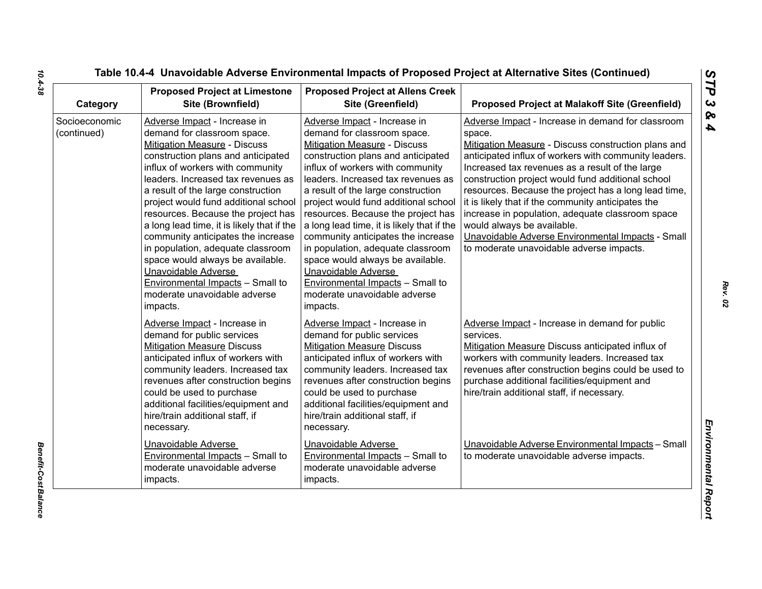| Category                     | <b>Proposed Project at Limestone</b><br>Site (Brownfield)                                                                                                                                                                                                                                                                                                                                                                                                                                                                                                                                                  | <b>Proposed Project at Allens Creek</b><br>Site (Greenfield)                                                                                                                                                                                                                                                                                                                                                                                                                                                                                                                                               | <b>Proposed Project at Malakoff Site (Greenfield)</b>                                                                                                                                                                                                                                                                                                                                                                                                                                                                                                                                |
|------------------------------|------------------------------------------------------------------------------------------------------------------------------------------------------------------------------------------------------------------------------------------------------------------------------------------------------------------------------------------------------------------------------------------------------------------------------------------------------------------------------------------------------------------------------------------------------------------------------------------------------------|------------------------------------------------------------------------------------------------------------------------------------------------------------------------------------------------------------------------------------------------------------------------------------------------------------------------------------------------------------------------------------------------------------------------------------------------------------------------------------------------------------------------------------------------------------------------------------------------------------|--------------------------------------------------------------------------------------------------------------------------------------------------------------------------------------------------------------------------------------------------------------------------------------------------------------------------------------------------------------------------------------------------------------------------------------------------------------------------------------------------------------------------------------------------------------------------------------|
| Socioeconomic<br>(continued) | Adverse Impact - Increase in<br>demand for classroom space.<br>Mitigation Measure - Discuss<br>construction plans and anticipated<br>influx of workers with community<br>leaders. Increased tax revenues as<br>a result of the large construction<br>project would fund additional school<br>resources. Because the project has<br>a long lead time, it is likely that if the<br>community anticipates the increase<br>in population, adequate classroom<br>space would always be available.<br>Unavoidable Adverse<br><b>Environmental Impacts - Small to</b><br>moderate unavoidable adverse<br>impacts. | Adverse Impact - Increase in<br>demand for classroom space.<br>Mitigation Measure - Discuss<br>construction plans and anticipated<br>influx of workers with community<br>leaders. Increased tax revenues as<br>a result of the large construction<br>project would fund additional school<br>resources. Because the project has<br>a long lead time, it is likely that if the<br>community anticipates the increase<br>in population, adequate classroom<br>space would always be available.<br>Unavoidable Adverse<br><b>Environmental Impacts - Small to</b><br>moderate unavoidable adverse<br>impacts. | Adverse Impact - Increase in demand for classroom<br>space.<br>Mitigation Measure - Discuss construction plans and<br>anticipated influx of workers with community leaders.<br>Increased tax revenues as a result of the large<br>construction project would fund additional school<br>resources. Because the project has a long lead time,<br>it is likely that if the community anticipates the<br>increase in population, adequate classroom space<br>would always be available.<br>Unavoidable Adverse Environmental Impacts - Small<br>to moderate unavoidable adverse impacts. |
|                              | Adverse Impact - Increase in<br>demand for public services<br><b>Mitigation Measure Discuss</b><br>anticipated influx of workers with<br>community leaders. Increased tax<br>revenues after construction begins<br>could be used to purchase<br>additional facilities/equipment and<br>hire/train additional staff, if<br>necessary.                                                                                                                                                                                                                                                                       | Adverse Impact - Increase in<br>demand for public services<br><b>Mitigation Measure Discuss</b><br>anticipated influx of workers with<br>community leaders. Increased tax<br>revenues after construction begins<br>could be used to purchase<br>additional facilities/equipment and<br>hire/train additional staff, if<br>necessary.                                                                                                                                                                                                                                                                       | Adverse Impact - Increase in demand for public<br>services.<br>Mitigation Measure Discuss anticipated influx of<br>workers with community leaders. Increased tax<br>revenues after construction begins could be used to<br>purchase additional facilities/equipment and<br>hire/train additional staff, if necessary.                                                                                                                                                                                                                                                                |
|                              | Unavoidable Adverse<br><b>Environmental Impacts - Small to</b><br>moderate unavoidable adverse<br>impacts.                                                                                                                                                                                                                                                                                                                                                                                                                                                                                                 | Unavoidable Adverse<br><b>Environmental Impacts - Small to</b><br>moderate unavoidable adverse<br>impacts.                                                                                                                                                                                                                                                                                                                                                                                                                                                                                                 | Unavoidable Adverse Environmental Impacts - Small<br>to moderate unavoidable adverse impacts.                                                                                                                                                                                                                                                                                                                                                                                                                                                                                        |

*Benefit-Cost Balance* 

**Benefit-Cost Balance**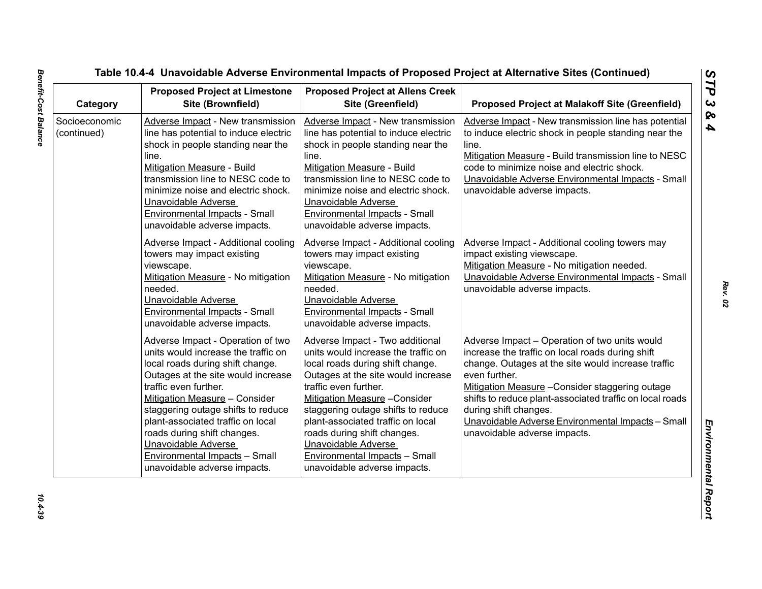| Category                     | <b>Proposed Project at Limestone</b><br>Site (Brownfield)                                                                                                                                                                                                                                                                                                                                                             | <b>Proposed Project at Allens Creek</b><br>Site (Greenfield)                                                                                                                                                                                                                                                                                                                                                        | <b>Proposed Project at Malakoff Site (Greenfield)</b>                                                                                                                                                                                                                                                                                                                                                 |
|------------------------------|-----------------------------------------------------------------------------------------------------------------------------------------------------------------------------------------------------------------------------------------------------------------------------------------------------------------------------------------------------------------------------------------------------------------------|---------------------------------------------------------------------------------------------------------------------------------------------------------------------------------------------------------------------------------------------------------------------------------------------------------------------------------------------------------------------------------------------------------------------|-------------------------------------------------------------------------------------------------------------------------------------------------------------------------------------------------------------------------------------------------------------------------------------------------------------------------------------------------------------------------------------------------------|
| Socioeconomic<br>(continued) | Adverse Impact - New transmission<br>line has potential to induce electric<br>shock in people standing near the<br>line.<br>Mitigation Measure - Build<br>transmission line to NESC code to<br>minimize noise and electric shock.<br>Unavoidable Adverse<br><b>Environmental Impacts - Small</b><br>unavoidable adverse impacts.                                                                                      | Adverse Impact - New transmission<br>line has potential to induce electric<br>shock in people standing near the<br>line.<br>Mitigation Measure - Build<br>transmission line to NESC code to<br>minimize noise and electric shock.<br>Unavoidable Adverse<br><b>Environmental Impacts - Small</b><br>unavoidable adverse impacts.                                                                                    | Adverse Impact - New transmission line has potential<br>to induce electric shock in people standing near the<br>line.<br>Mitigation Measure - Build transmission line to NESC<br>code to minimize noise and electric shock.<br>Unavoidable Adverse Environmental Impacts - Small<br>unavoidable adverse impacts.                                                                                      |
|                              | Adverse Impact - Additional cooling<br>towers may impact existing<br>viewscape.<br>Mitigation Measure - No mitigation<br>needed.<br>Unavoidable Adverse<br><b>Environmental Impacts - Small</b><br>unavoidable adverse impacts.                                                                                                                                                                                       | Adverse Impact - Additional cooling<br>towers may impact existing<br>viewscape.<br>Mitigation Measure - No mitigation<br>needed.<br><b>Unavoidable Adverse</b><br>Environmental Impacts - Small<br>unavoidable adverse impacts.                                                                                                                                                                                     | Adverse Impact - Additional cooling towers may<br>impact existing viewscape.<br>Mitigation Measure - No mitigation needed.<br>Unavoidable Adverse Environmental Impacts - Small<br>unavoidable adverse impacts.                                                                                                                                                                                       |
|                              | Adverse Impact - Operation of two<br>units would increase the traffic on<br>local roads during shift change.<br>Outages at the site would increase<br>traffic even further.<br>Mitigation Measure - Consider<br>staggering outage shifts to reduce<br>plant-associated traffic on local<br>roads during shift changes.<br>Unavoidable Adverse<br><b>Environmental Impacts - Small</b><br>unavoidable adverse impacts. | Adverse Impact - Two additional<br>units would increase the traffic on<br>local roads during shift change.<br>Outages at the site would increase<br>traffic even further.<br>Mitigation Measure - Consider<br>staggering outage shifts to reduce<br>plant-associated traffic on local<br>roads during shift changes.<br><b>Unavoidable Adverse</b><br>Environmental Impacts - Small<br>unavoidable adverse impacts. | Adverse Impact - Operation of two units would<br>increase the traffic on local roads during shift<br>change. Outages at the site would increase traffic<br>even further.<br>Mitigation Measure - Consider staggering outage<br>shifts to reduce plant-associated traffic on local roads<br>during shift changes.<br>Unavoidable Adverse Environmental Impacts - Small<br>unavoidable adverse impacts. |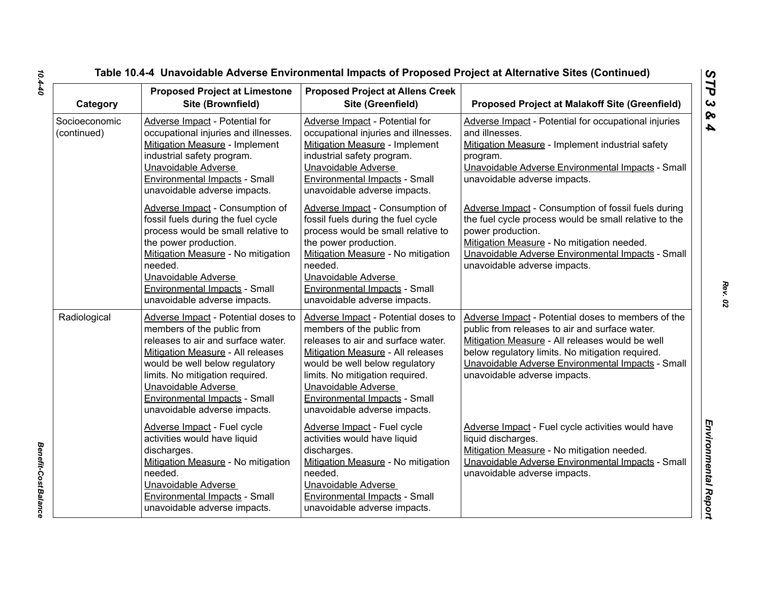|                                          | <b>Proposed Project at Limestone</b>                                                                                                                                                                                                                                                                             | <b>Proposed Project at Allens Creek</b>                                                                                                                                                                                                                                                                          |                                                                                                                                                                                                                                                                                                  |
|------------------------------------------|------------------------------------------------------------------------------------------------------------------------------------------------------------------------------------------------------------------------------------------------------------------------------------------------------------------|------------------------------------------------------------------------------------------------------------------------------------------------------------------------------------------------------------------------------------------------------------------------------------------------------------------|--------------------------------------------------------------------------------------------------------------------------------------------------------------------------------------------------------------------------------------------------------------------------------------------------|
| Category<br>Socioeconomic<br>(continued) | Site (Brownfield)<br>Adverse Impact - Potential for<br>occupational injuries and illnesses.<br>Mitigation Measure - Implement<br>industrial safety program.<br>Unavoidable Adverse<br>Environmental Impacts - Small                                                                                              | Site (Greenfield)<br>Adverse Impact - Potential for<br>occupational injuries and illnesses.<br><b>Mitigation Measure - Implement</b><br>industrial safety program.<br>Unavoidable Adverse<br>Environmental Impacts - Small                                                                                       | <b>Proposed Project at Malakoff Site (Greenfield)</b><br>Adverse Impact - Potential for occupational injuries<br>and illnesses.<br>Mitigation Measure - Implement industrial safety<br>program.<br>Unavoidable Adverse Environmental Impacts - Small<br>unavoidable adverse impacts.             |
|                                          | unavoidable adverse impacts.<br>Adverse Impact - Consumption of<br>fossil fuels during the fuel cycle<br>process would be small relative to<br>the power production.<br>Mitigation Measure - No mitigation<br>needed.<br>Unavoidable Adverse<br>Environmental Impacts - Small<br>unavoidable adverse impacts.    | unavoidable adverse impacts.<br>Adverse Impact - Consumption of<br>fossil fuels during the fuel cycle<br>process would be small relative to<br>the power production.<br>Mitigation Measure - No mitigation<br>needed.<br>Unavoidable Adverse<br>Environmental Impacts - Small<br>unavoidable adverse impacts.    | Adverse Impact - Consumption of fossil fuels during<br>the fuel cycle process would be small relative to the<br>power production.<br>Mitigation Measure - No mitigation needed.<br>Unavoidable Adverse Environmental Impacts - Small<br>unavoidable adverse impacts.                             |
| Radiological                             | Adverse Impact - Potential doses to<br>members of the public from<br>releases to air and surface water.<br>Mitigation Measure - All releases<br>would be well below regulatory<br>limits. No mitigation required.<br>Unavoidable Adverse<br><b>Environmental Impacts - Small</b><br>unavoidable adverse impacts. | Adverse Impact - Potential doses to<br>members of the public from<br>releases to air and surface water.<br>Mitigation Measure - All releases<br>would be well below regulatory<br>limits. No mitigation required.<br>Unavoidable Adverse<br><b>Environmental Impacts - Small</b><br>unavoidable adverse impacts. | Adverse Impact - Potential doses to members of the<br>public from releases to air and surface water.<br>Mitigation Measure - All releases would be well<br>below regulatory limits. No mitigation required.<br>Unavoidable Adverse Environmental Impacts - Small<br>unavoidable adverse impacts. |
|                                          | Adverse Impact - Fuel cycle<br>activities would have liquid<br>discharges.<br>Mitigation Measure - No mitigation<br>needed.<br>Unavoidable Adverse<br>Environmental Impacts - Small<br>unavoidable adverse impacts.                                                                                              | Adverse Impact - Fuel cycle<br>activities would have liquid<br>discharges.<br>Mitigation Measure - No mitigation<br>needed.<br>Unavoidable Adverse<br>Environmental Impacts - Small<br>unavoidable adverse impacts.                                                                                              | Adverse Impact - Fuel cycle activities would have<br>liquid discharges.<br>Mitigation Measure - No mitigation needed.<br>Unavoidable Adverse Environmental Impacts - Small<br>unavoidable adverse impacts.                                                                                       |

**Benefit-Cost Balance** *Benefit-Cost Balance*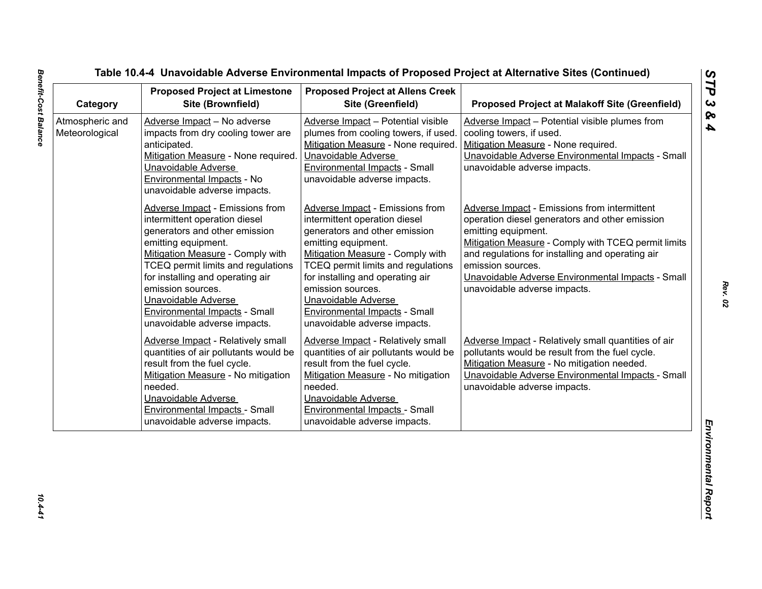| Category                          | <b>Proposed Project at Limestone</b><br>Site (Brownfield)                                                                                                                                                                                                                                                                                                         | <b>Proposed Project at Allens Creek</b><br>Site (Greenfield)                                                                                                                                                                                                                                                                                                      | <b>Proposed Project at Malakoff Site (Greenfield)</b>                                                                                                                                                                                                                                                                                      |
|-----------------------------------|-------------------------------------------------------------------------------------------------------------------------------------------------------------------------------------------------------------------------------------------------------------------------------------------------------------------------------------------------------------------|-------------------------------------------------------------------------------------------------------------------------------------------------------------------------------------------------------------------------------------------------------------------------------------------------------------------------------------------------------------------|--------------------------------------------------------------------------------------------------------------------------------------------------------------------------------------------------------------------------------------------------------------------------------------------------------------------------------------------|
| Atmospheric and<br>Meteorological | Adverse Impact - No adverse<br>impacts from dry cooling tower are<br>anticipated.<br>Mitigation Measure - None required.<br>Unavoidable Adverse<br>Environmental Impacts - No<br>unavoidable adverse impacts.                                                                                                                                                     | Adverse Impact - Potential visible<br>plumes from cooling towers, if used.<br>Mitigation Measure - None required.<br>Unavoidable Adverse<br>Environmental Impacts - Small<br>unavoidable adverse impacts.                                                                                                                                                         | Adverse Impact - Potential visible plumes from<br>cooling towers, if used.<br>Mitigation Measure - None required.<br>Unavoidable Adverse Environmental Impacts - Small<br>unavoidable adverse impacts.                                                                                                                                     |
|                                   | <b>Adverse Impact - Emissions from</b><br>intermittent operation diesel<br>generators and other emission<br>emitting equipment.<br>Mitigation Measure - Comply with<br>TCEQ permit limits and regulations<br>for installing and operating air<br>emission sources.<br>Unavoidable Adverse<br><b>Environmental Impacts - Small</b><br>unavoidable adverse impacts. | <b>Adverse Impact - Emissions from</b><br>intermittent operation diesel<br>generators and other emission<br>emitting equipment.<br>Mitigation Measure - Comply with<br>TCEQ permit limits and regulations<br>for installing and operating air<br>emission sources.<br>Unavoidable Adverse<br><b>Environmental Impacts - Small</b><br>unavoidable adverse impacts. | Adverse Impact - Emissions from intermittent<br>operation diesel generators and other emission<br>emitting equipment.<br>Mitigation Measure - Comply with TCEQ permit limits<br>and regulations for installing and operating air<br>emission sources.<br>Unavoidable Adverse Environmental Impacts - Small<br>unavoidable adverse impacts. |
|                                   | <b>Adverse Impact - Relatively small</b><br>quantities of air pollutants would be<br>result from the fuel cycle.<br>Mitigation Measure - No mitigation<br>needed.<br>Unavoidable Adverse<br><b>Environmental Impacts - Small</b><br>unavoidable adverse impacts.                                                                                                  | <b>Adverse Impact - Relatively small</b><br>quantities of air pollutants would be<br>result from the fuel cycle.<br>Mitigation Measure - No mitigation<br>needed.<br>Unavoidable Adverse<br><b>Environmental Impacts - Small</b><br>unavoidable adverse impacts.                                                                                                  | Adverse Impact - Relatively small quantities of air<br>pollutants would be result from the fuel cycle.<br>Mitigation Measure - No mitigation needed.<br>Unavoidable Adverse Environmental Impacts - Small<br>unavoidable adverse impacts.                                                                                                  |